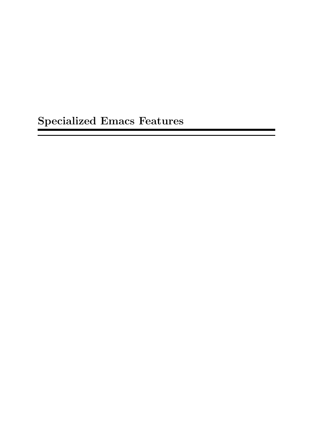Specialized Emacs Features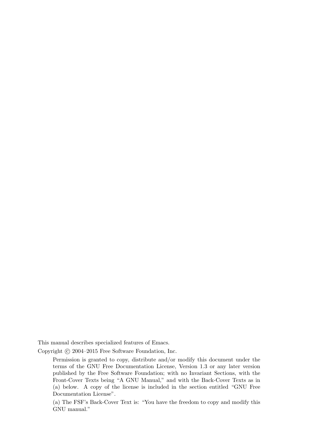This manual describes specialized features of Emacs.

Copyright  $\odot$  2004–2015 Free Software Foundation, Inc.

Permission is granted to copy, distribute and/or modify this document under the terms of the GNU Free Documentation License, Version 1.3 or any later version published by the Free Software Foundation; with no Invariant Sections, with the Front-Cover Texts being "A GNU Manual," and with the Back-Cover Texts as in (a) below. A copy of the license is included in the section entitled "GNU Free Documentation License".

(a) The FSF's Back-Cover Text is: "You have the freedom to copy and modify this GNU manual."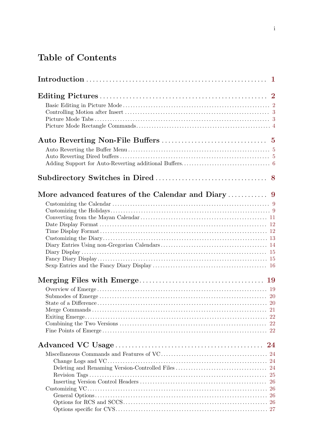# Table of Contents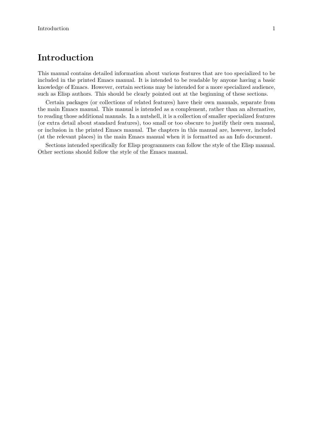# <span id="page-4-0"></span>Introduction

This manual contains detailed information about various features that are too specialized to be included in the printed Emacs manual. It is intended to be readable by anyone having a basic knowledge of Emacs. However, certain sections may be intended for a more specialized audience, such as Elisp authors. This should be clearly pointed out at the beginning of these sections.

Certain packages (or collections of related features) have their own manuals, separate from the main Emacs manual. This manual is intended as a complement, rather than an alternative, to reading those additional manuals. In a nutshell, it is a collection of smaller specialized features (or extra detail about standard features), too small or too obscure to justify their own manual, or inclusion in the printed Emacs manual. The chapters in this manual are, however, included (at the relevant places) in the main Emacs manual when it is formatted as an Info document.

Sections intended specifically for Elisp programmers can follow the style of the Elisp manual. Other sections should follow the style of the Emacs manual.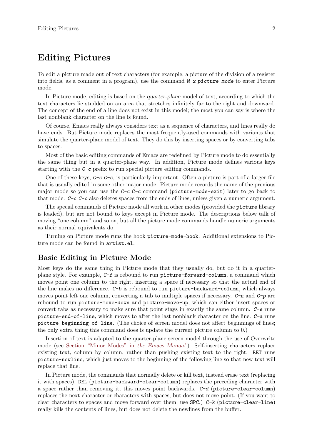# <span id="page-5-0"></span>Editing Pictures

To edit a picture made out of text characters (for example, a picture of the division of a register into fields, as a comment in a program), use the command  $M-x$  picture-mode to enter Picture mode.

In Picture mode, editing is based on the quarter-plane model of text, according to which the text characters lie studded on an area that stretches infinitely far to the right and downward. The concept of the end of a line does not exist in this model; the most you can say is where the last nonblank character on the line is found.

Of course, Emacs really always considers text as a sequence of characters, and lines really do have ends. But Picture mode replaces the most frequently-used commands with variants that simulate the quarter-plane model of text. They do this by inserting spaces or by converting tabs to spaces.

Most of the basic editing commands of Emacs are redefined by Picture mode to do essentially the same thing but in a quarter-plane way. In addition, Picture mode defines various keys starting with the C-c prefix to run special picture editing commands.

One of these keys,  $C-c$ , is particularly important. Often a picture is part of a larger file that is usually edited in some other major mode. Picture mode records the name of the previous major mode so you can use the  $C-c$  C-c command (picture-mode-exit) later to go back to that mode.  $C-c$   $-c$  also deletes spaces from the ends of lines, unless given a numeric argument.

The special commands of Picture mode all work in other modes (provided the picture library is loaded), but are not bound to keys except in Picture mode. The descriptions below talk of moving "one column" and so on, but all the picture mode commands handle numeric arguments as their normal equivalents do.

Turning on Picture mode runs the hook picture-mode-hook. Additional extensions to Picture mode can be found in artist.el.

## Basic Editing in Picture Mode

Most keys do the same thing in Picture mode that they usually do, but do it in a quarterplane style. For example, C-f is rebound to run picture-forward-column, a command which moves point one column to the right, inserting a space if necessary so that the actual end of the line makes no difference. C-b is rebound to run picture-backward-column, which always moves point left one column, converting a tab to multiple spaces if necessary.  $C-n$  and  $C-p$  are rebound to run picture-move-down and picture-move-up, which can either insert spaces or convert tabs as necessary to make sure that point stays in exactly the same column.  $C-e$  runs picture-end-of-line, which moves to after the last nonblank character on the line. C-a runs picture-beginning-of-line. (The choice of screen model does not affect beginnings of lines; the only extra thing this command does is update the current picture column to 0.)

Insertion of text is adapted to the quarter-plane screen model through the use of Overwrite mode (see Section "Minor Modes" in the Emacs Manual.) Self-inserting characters replace existing text, column by column, rather than pushing existing text to the right. RET runs picture-newline, which just moves to the beginning of the following line so that new text will replace that line.

In Picture mode, the commands that normally delete or kill text, instead erase text (replacing it with spaces). DEL (picture-backward-clear-column) replaces the preceding character with a space rather than removing it; this moves point backwards. C-d (picture-clear-column) replaces the next character or characters with spaces, but does not move point. (If you want to clear characters to spaces and move forward over them, use SPC.)  $C-k$  (picture-clear-line) really kills the contents of lines, but does not delete the newlines from the buffer.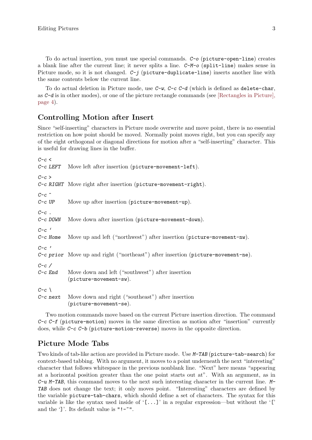<span id="page-6-0"></span>To do actual insertion, you must use special commands. C-o (picture-open-line) creates a blank line after the current line; it never splits a line. C-M-o (split-line) makes sense in Picture mode, so it is not changed.  $C-j$  (picture-duplicate-line) inserts another line with the same contents below the current line.

To do actual deletion in Picture mode, use  $C-w$ ,  $C-c-d$  (which is defined as delete-char, as C-d is in other modes), or one of the picture rectangle commands (see [\[Rectangles in Picture\],](#page-7-1) [page 4\)](#page-7-1).

## Controlling Motion after Insert

Since "self-inserting" characters in Picture mode overwrite and move point, there is no essential restriction on how point should be moved. Normally point moves right, but you can specify any of the eight orthogonal or diagonal directions for motion after a "self-inserting" character. This is useful for drawing lines in the buffer.

 $C-c <$ C-c LEFT Move left after insertion (picture-movement-left).  $C-c$ C-c RIGHT Move right after insertion (picture-movement-right).  $C-c$  ^ C-c UP Move up after insertion (picture-movement-up).  $C-c$ . C-c DOWN Move down after insertion (picture-movement-down).  $C-c$ <sup> $\prime$ </sup>  $C-c$  Home Move up and left ("northwest") after insertion (picture-movement-nw).  $C-c$ <sup>'</sup>  $C-c$  prior Move up and right ("northeast") after insertion (picture-movement-ne).  $C-c$  / C-c End Move down and left ("southwest") after insertion (picture-movement-sw).  $C-c$ C-c next Move down and right ("southeast") after insertion (picture-movement-se).

Two motion commands move based on the current Picture insertion direction. The command  $C-c$  C-f (picture-motion) moves in the same direction as motion after "insertion" currently does, while  $C-c$   $C-b$  (picture-motion-reverse) moves in the opposite direction.

## Picture Mode Tabs

Two kinds of tab-like action are provided in Picture mode. Use  $M-TAB$  (picture-tab-search) for context-based tabbing. With no argument, it moves to a point underneath the next "interesting" character that follows whitespace in the previous nonblank line. "Next" here means "appearing at a horizontal position greater than the one point starts out at". With an argument, as in  $C-u$  M-TAB, this command moves to the next such interesting character in the current line. M-TAB does not change the text; it only moves point. "Interesting" characters are defined by the variable picture-tab-chars, which should define a set of characters. The syntax for this variable is like the syntax used inside of  $\{ \ldots \}$  in a regular expression—but without the  $\{ \}$ and the ']'. Its default value is "! $-$ ".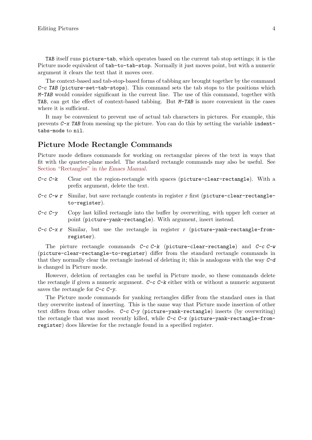<span id="page-7-0"></span>TAB itself runs picture-tab, which operates based on the current tab stop settings; it is the Picture mode equivalent of tab-to-tab-stop. Normally it just moves point, but with a numeric argument it clears the text that it moves over.

The context-based and tab-stop-based forms of tabbing are brought together by the command  $C-c$  TAB (picture-set-tab-stops). This command sets the tab stops to the positions which M-TAB would consider significant in the current line. The use of this command, together with TAB, can get the effect of context-based tabbing. But M-TAB is more convenient in the cases where it is sufficient.

It may be convenient to prevent use of actual tab characters in pictures. For example, this prevents C-x TAB from messing up the picture. You can do this by setting the variable indenttabs-mode to nil.

## <span id="page-7-1"></span>Picture Mode Rectangle Commands

Picture mode defines commands for working on rectangular pieces of the text in ways that fit with the quarter-plane model. The standard rectangle commands may also be useful. See Section "Rectangles" in the Emacs Manual.

- $C-c -c$  Clear out the region-rectangle with spaces (picture-clear-rectangle). With a prefix argument, delete the text.
- $C-c$   $C-w$  r Similar, but save rectangle contents in register r first (picture-clear-rectangleto-register).
- $C-c$  C-y Copy last killed rectangle into the buffer by overwriting, with upper left corner at point (picture-yank-rectangle). With argument, insert instead.
- $C-c x$  r Similar, but use the rectangle in register r (picture-yank-rectangle-fromregister).

The picture rectangle commands  $C-c - K$  (picture-clear-rectangle) and  $C-c - W$ (picture-clear-rectangle-to-register) differ from the standard rectangle commands in that they normally clear the rectangle instead of deleting it; this is analogous with the way  $C-d$ is changed in Picture mode.

However, deletion of rectangles can be useful in Picture mode, so these commands delete the rectangle if given a numeric argument.  $C-c$   $C-k$  either with or without a numeric argument saves the rectangle for  $C-c$   $C-y$ .

The Picture mode commands for yanking rectangles differ from the standard ones in that they overwrite instead of inserting. This is the same way that Picture mode insertion of other text differs from other modes. C-c C-y (picture-yank-rectangle) inserts (by overwriting) the rectangle that was most recently killed, while  $C-c-x$  (picture-yank-rectangle-fromregister) does likewise for the rectangle found in a specified register.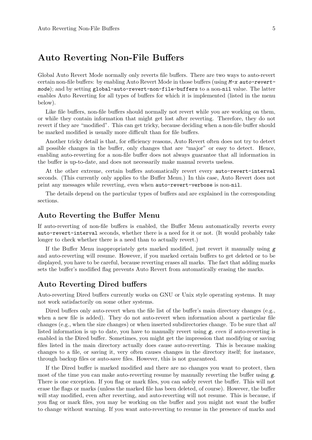# <span id="page-8-0"></span>Auto Reverting Non-File Buffers

Global Auto Revert Mode normally only reverts file buffers. There are two ways to auto-revert certain non-file buffers: by enabling Auto Revert Mode in those buffers (using M-x auto-revertmode); and by setting global-auto-revert-non-file-buffers to a non-nil value. The latter enables Auto Reverting for all types of buffers for which it is implemented (listed in the menu below).

Like file buffers, non-file buffers should normally not revert while you are working on them, or while they contain information that might get lost after reverting. Therefore, they do not revert if they are "modified". This can get tricky, because deciding when a non-file buffer should be marked modified is usually more difficult than for file buffers.

Another tricky detail is that, for efficiency reasons, Auto Revert often does not try to detect all possible changes in the buffer, only changes that are "major" or easy to detect. Hence, enabling auto-reverting for a non-file buffer does not always guarantee that all information in the buffer is up-to-date, and does not necessarily make manual reverts useless.

At the other extreme, certain buffers automatically revert every auto-revert-interval seconds. (This currently only applies to the Buffer Menu.) In this case, Auto Revert does not print any messages while reverting, even when auto-revert-verbose is non-nil.

The details depend on the particular types of buffers and are explained in the corresponding sections.

## Auto Reverting the Buffer Menu

If auto-reverting of non-file buffers is enabled, the Buffer Menu automatically reverts every auto-revert-interval seconds, whether there is a need for it or not. (It would probably take longer to check whether there is a need than to actually revert.)

If the Buffer Menu inappropriately gets marked modified, just revert it manually using  $g$ and auto-reverting will resume. However, if you marked certain buffers to get deleted or to be displayed, you have to be careful, because reverting erases all marks. The fact that adding marks sets the buffer's modified flag prevents Auto Revert from automatically erasing the marks.

## Auto Reverting Dired buffers

Auto-reverting Dired buffers currently works on GNU or Unix style operating systems. It may not work satisfactorily on some other systems.

Dired buffers only auto-revert when the file list of the buffer's main directory changes (e.g., when a new file is added). They do not auto-revert when information about a particular file changes (e.g., when the size changes) or when inserted subdirectories change. To be sure that all listed information is up to date, you have to manually revert using  $g$ , even if auto-reverting is enabled in the Dired buffer. Sometimes, you might get the impression that modifying or saving files listed in the main directory actually does cause auto-reverting. This is because making changes to a file, or saving it, very often causes changes in the directory itself; for instance, through backup files or auto-save files. However, this is not guaranteed.

If the Dired buffer is marked modified and there are no changes you want to protect, then most of the time you can make auto-reverting resume by manually reverting the buffer using  $g$ . There is one exception. If you flag or mark files, you can safely revert the buffer. This will not erase the flags or marks (unless the marked file has been deleted, of course). However, the buffer will stay modified, even after reverting, and auto-reverting will not resume. This is because, if you flag or mark files, you may be working on the buffer and you might not want the buffer to change without warning. If you want auto-reverting to resume in the presence of marks and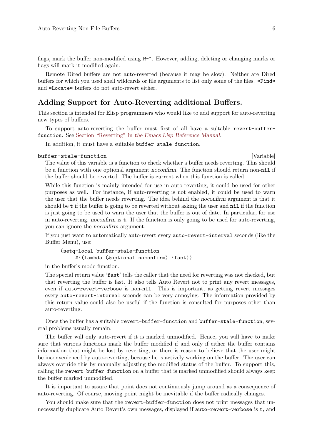<span id="page-9-0"></span>flags, mark the buffer non-modified using  $M^{\sim}$ . However, adding, deleting or changing marks or flags will mark it modified again.

Remote Dired buffers are not auto-reverted (because it may be slow). Neither are Dired buffers for which you used shell wildcards or file arguments to list only some of the files. \*Find\* and \*Locate\* buffers do not auto-revert either.

## Adding Support for Auto-Reverting additional Buffers.

This section is intended for Elisp programmers who would like to add support for auto-reverting new types of buffers.

To support auto-reverting the buffer must first of all have a suitable revert-bufferfunction. See Section "Reverting" in the Emacs Lisp Reference Manual.

In addition, it must have a suitable buffer-stale-function.

#### buffer-stale-function [Variable]

The value of this variable is a function to check whether a buffer needs reverting. This should be a function with one optional argument *noconfirm*. The function should return non-nil if the buffer should be reverted. The buffer is current when this function is called.

While this function is mainly intended for use in auto-reverting, it could be used for other purposes as well. For instance, if auto-reverting is not enabled, it could be used to warn the user that the buffer needs reverting. The idea behind the noconfirm argument is that it should be t if the buffer is going to be reverted without asking the user and nil if the function is just going to be used to warn the user that the buffer is out of date. In particular, for use in auto-reverting, noconfirm is t. If the function is only going to be used for auto-reverting, you can ignore the noconfirm argument.

If you just want to automatically auto-revert every auto-revert-interval seconds (like the Buffer Menu), use:

(setq-local buffer-stale-function #'(lambda (&optional noconfirm) 'fast))

in the buffer's mode function.

The special return value 'fast' tells the caller that the need for reverting was not checked, but that reverting the buffer is fast. It also tells Auto Revert not to print any revert messages, even if auto-revert-verbose is non-nil. This is important, as getting revert messages every auto-revert-interval seconds can be very annoying. The information provided by this return value could also be useful if the function is consulted for purposes other than auto-reverting.

Once the buffer has a suitable revert-buffer-function and buffer-stale-function, several problems usually remain.

The buffer will only auto-revert if it is marked unmodified. Hence, you will have to make sure that various functions mark the buffer modified if and only if either the buffer contains information that might be lost by reverting, or there is reason to believe that the user might be inconvenienced by auto-reverting, because he is actively working on the buffer. The user can always override this by manually adjusting the modified status of the buffer. To support this, calling the revert-buffer-function on a buffer that is marked unmodified should always keep the buffer marked unmodified.

It is important to assure that point does not continuously jump around as a consequence of auto-reverting. Of course, moving point might be inevitable if the buffer radically changes.

You should make sure that the revert-buffer-function does not print messages that unnecessarily duplicate Auto Revert's own messages, displayed if auto-revert-verbose is t, and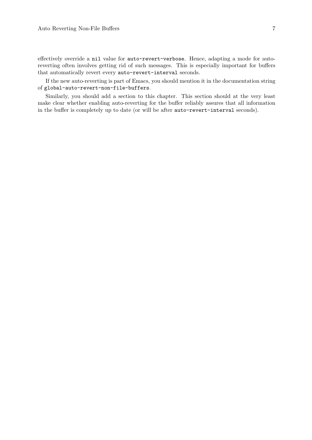effectively override a nil value for auto-revert-verbose. Hence, adapting a mode for autoreverting often involves getting rid of such messages. This is especially important for buffers that automatically revert every auto-revert-interval seconds.

If the new auto-reverting is part of Emacs, you should mention it in the documentation string of global-auto-revert-non-file-buffers.

Similarly, you should add a section to this chapter. This section should at the very least make clear whether enabling auto-reverting for the buffer reliably assures that all information in the buffer is completely up to date (or will be after auto-revert-interval seconds).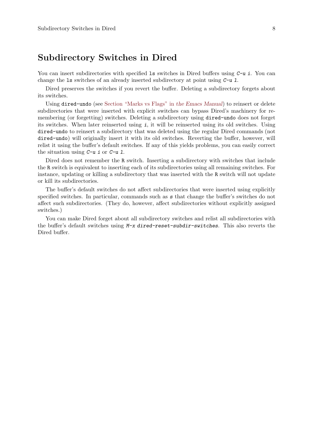# <span id="page-11-0"></span>Subdirectory Switches in Dired

You can insert subdirectories with specified 1s switches in Dired buffers using  $C-u$  i. You can change the 1s switches of an already inserted subdirectory at point using  $C-u$  1.

Dired preserves the switches if you revert the buffer. Deleting a subdirectory forgets about its switches.

Using dired-undo (see Section "Marks vs Flags" in the Emacs Manual) to reinsert or delete subdirectories that were inserted with explicit switches can bypass Dired's machinery for remembering (or forgetting) switches. Deleting a subdirectory using dired-undo does not forget its switches. When later reinserted using i, it will be reinserted using its old switches. Using dired-undo to reinsert a subdirectory that was deleted using the regular Dired commands (not dired-undo) will originally insert it with its old switches. Reverting the buffer, however, will relist it using the buffer's default switches. If any of this yields problems, you can easily correct the situation using  $C-u$  i or  $C-u$  1.

Dired does not remember the R switch. Inserting a subdirectory with switches that include the R switch is equivalent to inserting each of its subdirectories using all remaining switches. For instance, updating or killing a subdirectory that was inserted with the R switch will not update or kill its subdirectories.

The buffer's default switches do not affect subdirectories that were inserted using explicitly specified switches. In particular, commands such as s that change the buffer's switches do not affect such subdirectories. (They do, however, affect subdirectories without explicitly assigned switches.)

You can make Dired forget about all subdirectory switches and relist all subdirectories with the buffer's default switches using  $M-x$  dired-reset-subdir-switches. This also reverts the Dired buffer.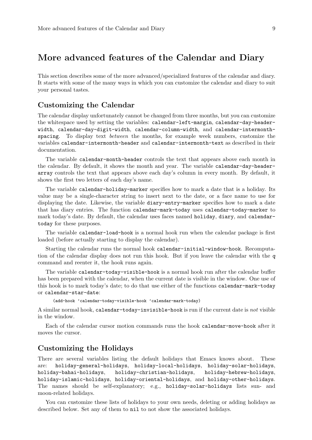# <span id="page-12-0"></span>More advanced features of the Calendar and Diary

This section describes some of the more advanced/specialized features of the calendar and diary. It starts with some of the many ways in which you can customize the calendar and diary to suit your personal tastes.

## Customizing the Calendar

The calendar display unfortunately cannot be changed from three months, but you can customize the whitespace used by setting the variables: calendar-left-margin, calendar-day-headerwidth, calendar-day-digit-width, calendar-column-width, and calendar-intermonthspacing. To display text between the months, for example week numbers, customize the variables calendar-intermonth-header and calendar-intermonth-text as described in their documentation.

The variable calendar-month-header controls the text that appears above each month in the calendar. By default, it shows the month and year. The variable calendar-day-headerarray controls the text that appears above each day's column in every month. By default, it shows the first two letters of each day's name.

The variable calendar-holiday-marker specifies how to mark a date that is a holiday. Its value may be a single-character string to insert next to the date, or a face name to use for displaying the date. Likewise, the variable diary-entry-marker specifies how to mark a date that has diary entries. The function calendar-mark-today uses calendar-today-marker to mark today's date. By default, the calendar uses faces named holiday, diary, and calendartoday for these purposes.

The variable calendar-load-hook is a normal hook run when the calendar package is first loaded (before actually starting to display the calendar).

Starting the calendar runs the normal hook calendar-initial-window-hook. Recomputation of the calendar display does not run this hook. But if you leave the calendar with the q command and reenter it, the hook runs again.

The variable calendar-today-visible-hook is a normal hook run after the calendar buffer has been prepared with the calendar, when the current date is visible in the window. One use of this hook is to mark today's date; to do that use either of the functions calendar-mark-today or calendar-star-date:

(add-hook 'calendar-today-visible-hook 'calendar-mark-today)

A similar normal hook, calendar-today-invisible-hook is run if the current date is not visible in the window.

Each of the calendar cursor motion commands runs the hook calendar-move-hook after it moves the cursor.

# Customizing the Holidays

There are several variables listing the default holidays that Emacs knows about. These are: holiday-general-holidays, holiday-local-holidays, holiday-solar-holidays, holiday-bahai-holidays, holiday-christian-holidays, holiday-hebrew-holidays, holiday-islamic-holidays, holiday-oriental-holidays, and holiday-other-holidays. The names should be self-explanatory; e.g., holiday-solar-holidays lists sun- and moon-related holidays.

You can customize these lists of holidays to your own needs, deleting or adding holidays as described below. Set any of them to nil to not show the associated holidays.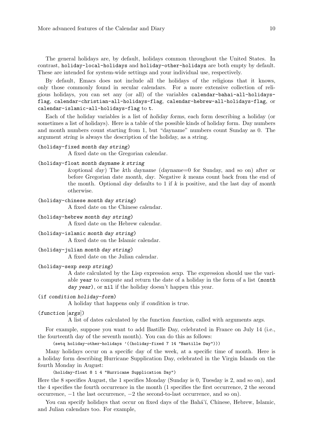<span id="page-13-0"></span>The general holidays are, by default, holidays common throughout the United States. In contrast, holiday-local-holidays and holiday-other-holidays are both empty by default. These are intended for system-wide settings and your individual use, respectively.

By default, Emacs does not include all the holidays of the religions that it knows, only those commonly found in secular calendars. For a more extensive collection of religious holidays, you can set any (or all) of the variables calendar-bahai-all-holidaysflag, calendar-christian-all-holidays-flag, calendar-hebrew-all-holidays-flag, or calendar-islamic-all-holidays-flag to t.

Each of the holiday variables is a list of holiday forms, each form describing a holiday (or sometimes a list of holidays). Here is a table of the possible kinds of holiday form. Day numbers and month numbers count starting from 1, but "dayname" numbers count Sunday as 0. The argument string is always the description of the holiday, as a string.

#### (holiday-fixed month day string)

A fixed date on the Gregorian calendar.

### (holiday-float month dayname k string

&optional day) The kth dayname (dayname=0 for Sunday, and so on) after or before Gregorian date month, day. Negative k means count back from the end of the month. Optional day defaults to  $1$  if  $k$  is positive, and the last day of month otherwise.

#### (holiday-chinese month day string)

A fixed date on the Chinese calendar.

#### (holiday-hebrew month day string)

A fixed date on the Hebrew calendar.

(holiday-islamic month day string)

A fixed date on the Islamic calendar.

### (holiday-julian month day string)

A fixed date on the Julian calendar.

#### (holiday-sexp sexp string)

A date calculated by the Lisp expression sexp. The expression should use the variable year to compute and return the date of a holiday in the form of a list (month day year), or nil if the holiday doesn't happen this year.

#### (if condition holiday-form)

A holiday that happens only if condition is true.

#### (function [args])

A list of dates calculated by the function function, called with arguments args.

For example, suppose you want to add Bastille Day, celebrated in France on July 14 (i.e., the fourteenth day of the seventh month). You can do this as follows:

(setq holiday-other-holidays '((holiday-fixed 7 14 "Bastille Day")))

Many holidays occur on a specific day of the week, at a specific time of month. Here is a holiday form describing Hurricane Supplication Day, celebrated in the Virgin Islands on the fourth Monday in August:

(holiday-float 8 1 4 "Hurricane Supplication Day")

Here the 8 specifies August, the 1 specifies Monday (Sunday is 0, Tuesday is 2, and so on), and the 4 specifies the fourth occurrence in the month (1 specifies the first occurrence, 2 the second occurrence,  $-1$  the last occurrence,  $-2$  the second-to-last occurrence, and so on).

You can specify holidays that occur on fixed days of the Bahá'í, Chinese, Hebrew, Islamic, and Julian calendars too. For example,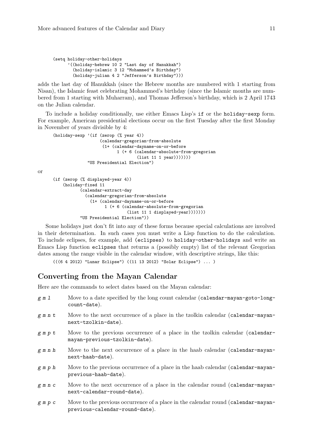```
(setq holiday-other-holidays
      '((holiday-hebrew 10 2 "Last day of Hanukkah")
       (holiday-islamic 3 12 "Mohammed's Birthday")
        (holiday-julian 4 2 "Jefferson's Birthday")))
```
adds the last day of Hanukkah (since the Hebrew months are numbered with 1 starting from Nisan), the Islamic feast celebrating Mohammed's birthday (since the Islamic months are numbered from 1 starting with Muharram), and Thomas Jefferson's birthday, which is 2 April 1743 on the Julian calendar.

To include a holiday conditionally, use either Emacs Lisp's if or the holiday-sexp form. For example, American presidential elections occur on the first Tuesday after the first Monday in November of years divisible by 4:

```
(holiday-sexp '(if (zerop (% year 4))
                   (calendar-gregorian-from-absolute
                    (1+ (calendar-dayname-on-or-before
                          1 (+ 6 (calendar-absolute-from-gregorian
                                  (list 11 1 year))))))"US Presidential Election")
(if (zerop (% displayed-year 4))
    (holiday-fixed 11
           (calendar-extract-day
             (calendar-gregorian-from-absolute
               (1+ (calendar-dayname-on-or-before
                     1 (+ 6 (calendar-absolute-from-gregorian
```
Some holidays just don't fit into any of these forms because special calculations are involved in their determination. In such cases you must write a Lisp function to do the calculation. To include eclipses, for example, add (eclipses) to holiday-other-holidays and write an Emacs Lisp function eclipses that returns a (possibly empty) list of the relevant Gregorian dates among the range visible in the calendar window, with descriptive strings, like this:

(list 11 1 displayed-year)))))))

```
(((6 4 2012) "Lunar Eclipse") ((11 13 2012) "Solar Eclipse") ... )
```
## Converting from the Mayan Calendar

"US Presidential Election"))

or

Here are the commands to select dates based on the Mayan calendar:

| $g \nightharpoonup l$ | Move to a date specified by the long count calendar (calendar-mayan-goto-long-<br>count-date).                      |
|-----------------------|---------------------------------------------------------------------------------------------------------------------|
| $g$ m $n t$           | Move to the next occurrence of a place in the tzolkin calendar (calendar-mayan-<br>next-tzolkin-date).              |
| $g \nrightarrow p t$  | Move to the previous occurrence of a place in the tzolkin calendar (calendar-<br>mayan-previous-tzolkin-date).      |
| $g \nmid n h$         | Move to the next occurrence of a place in the haab calendar (calendar-mayan-<br>next-haab-date).                    |
| $g \nmid p \nmid h$   | Move to the previous occurrence of a place in the haab calendar (calendar-mayan-<br>previous-haab-date).            |
| $g \nmid n c$         | Move to the next occurrence of a place in the calendar round (calendar-mayan-<br>next-calendar-round-date).         |
| $g \nmid p \nmid c$   | Move to the previous occurrence of a place in the calendar round (calendar-mayan-<br>previous-calendar-round-date). |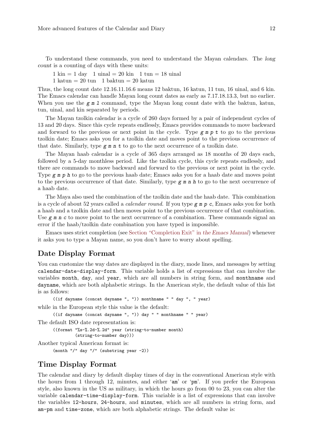<span id="page-15-0"></span>To understand these commands, you need to understand the Mayan calendars. The long count is a counting of days with these units:

 $1 \text{ kin} = 1 \text{ day}$   $1 \text{ uinal} = 20 \text{ kin}$   $1 \text{ tun} = 18 \text{ uinal}$ 

1 katun = 20 tun 1 baktun = 20 katun

Thus, the long count date 12.16.11.16.6 means 12 baktun, 16 katun, 11 tun, 16 uinal, and 6 kin. The Emacs calendar can handle Mayan long count dates as early as 7.17.18.13.3, but no earlier. When you use the  $g \text{m 1}$  command, type the Mayan long count date with the baktun, katun, tun, uinal, and kin separated by periods.

The Mayan tzolkin calendar is a cycle of 260 days formed by a pair of independent cycles of 13 and 20 days. Since this cycle repeats endlessly, Emacs provides commands to move backward and forward to the previous or next point in the cycle. Type  $g \mod p$  t to go to the previous tzolkin date; Emacs asks you for a tzolkin date and moves point to the previous occurrence of that date. Similarly, type  $g \mod n$  to go to the next occurrence of a tzolkin date.

The Mayan haab calendar is a cycle of 365 days arranged as 18 months of 20 days each, followed by a 5-day monthless period. Like the tzolkin cycle, this cycle repeats endlessly, and there are commands to move backward and forward to the previous or next point in the cycle. Type  $g \nightharpoonup p$  h to go to the previous haab date; Emacs asks you for a haab date and moves point to the previous occurrence of that date. Similarly, type  $g \mod n$  h to go to the next occurrence of a haab date.

The Maya also used the combination of the tzolkin date and the haab date. This combination is a cycle of about 52 years called a *calendar round*. If you type  $g \mod p$  c, Emacs asks you for both a haab and a tzolkin date and then moves point to the previous occurrence of that combination. Use  $g \text{m n c}$  to move point to the next occurrence of a combination. These commands signal an error if the haab/tzolkin date combination you have typed is impossible.

Emacs uses strict completion (see Section "Completion Exit" in the Emacs Manual) whenever it asks you to type a Mayan name, so you don't have to worry about spelling.

## Date Display Format

You can customize the way dates are displayed in the diary, mode lines, and messages by setting calendar-date-display-form. This variable holds a list of expressions that can involve the variables month, day, and year, which are all numbers in string form, and monthname and dayname, which are both alphabetic strings. In the American style, the default value of this list is as follows:

((if dayname (concat dayname ", ")) monthname " " day ", " year)

while in the European style this value is the default:

((if dayname (concat dayname ", ")) day " " monthname " " year)

The default ISO date representation is:

((format "%s-%.2d-%.2d" year (string-to-number month) (string-to-number day)))

Another typical American format is:

(month "/" day "/" (substring year -2))

## Time Display Format

The calendar and diary by default display times of day in the conventional American style with the hours from 1 through 12, minutes, and either 'am' or 'pm'. If you prefer the European style, also known in the US as military, in which the hours go from 00 to 23, you can alter the variable calendar-time-display-form. This variable is a list of expressions that can involve the variables 12-hours, 24-hours, and minutes, which are all numbers in string form, and am-pm and time-zone, which are both alphabetic strings. The default value is: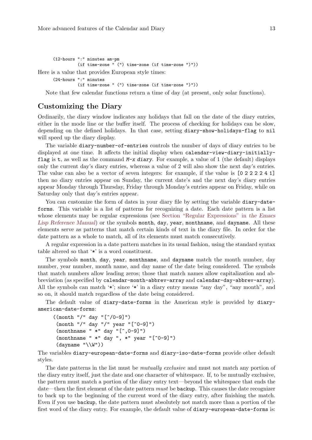```
(12-hours ":" minutes am-pm
                (if time-zone " (") time-zone (if time-zone ")"))
Here is a value that provides European style times:
      (24-hours ":" minutes
                (if time-zone " (") time-zone (if time-zone ")"))
```
Note that few calendar functions return a time of day (at present, only solar functions).

## Customizing the Diary

Ordinarily, the diary window indicates any holidays that fall on the date of the diary entries, either in the mode line or the buffer itself. The process of checking for holidays can be slow, depending on the defined holidays. In that case, setting diary-show-holidays-flag to nil will speed up the diary display.

The variable diary-number-of-entries controls the number of days of diary entries to be displayed at one time. It affects the initial display when calendar-view-diary-initiallyflag is t, as well as the command  $M-x$  diary. For example, a value of 1 (the default) displays only the current day's diary entries, whereas a value of 2 will also show the next day's entries. The value can also be a vector of seven integers: for example, if the value is [0 2 2 2 2 4 1] then no diary entries appear on Sunday, the current date's and the next day's diary entries appear Monday through Thursday, Friday through Monday's entries appear on Friday, while on Saturday only that day's entries appear.

You can customize the form of dates in your diary file by setting the variable diary-dateforms. This variable is a list of patterns for recognizing a date. Each date pattern is a list whose elements may be regular expressions (see Section "Regular Expressions" in the Emacs Lisp Reference Manual) or the symbols month, day, year, monthname, and dayname. All these elements serve as patterns that match certain kinds of text in the diary file. In order for the date pattern as a whole to match, all of its elements must match consecutively.

A regular expression in a date pattern matches in its usual fashion, using the standard syntax table altered so that '\*' is a word constituent.

The symbols month, day, year, monthname, and dayname match the month number, day number, year number, month name, and day name of the date being considered. The symbols that match numbers allow leading zeros; those that match names allow capitalization and abbreviation (as specified by calendar-month-abbrev-array and calendar-day-abbrev-array). All the symbols can match '\*'; since '\*' in a diary entry means "any day", "any month", and so on, it should match regardless of the date being considered.

The default value of diary-date-forms in the American style is provided by diaryamerican-date-forms:

```
((month "/" day "[^/0-9]")
 (month "/" day "/" year "[^0-9]")
 (monthname " *" dav "[^, 0-9]")(monthname " *" day ", *" year "[^0-9]")
 (dayname "\\W"))
```
The variables diary-european-date-forms and diary-iso-date-forms provide other default styles.

The date patterns in the list must be *mutually exclusive* and must not match any portion of the diary entry itself, just the date and one character of whitespace. If, to be mutually exclusive, the pattern must match a portion of the diary entry text—beyond the whitespace that ends the date—then the first element of the date pattern *must* be **backup**. This causes the date recognizer to back up to the beginning of the current word of the diary entry, after finishing the match. Even if you use backup, the date pattern must absolutely not match more than a portion of the first word of the diary entry. For example, the default value of diary-european-date-forms is: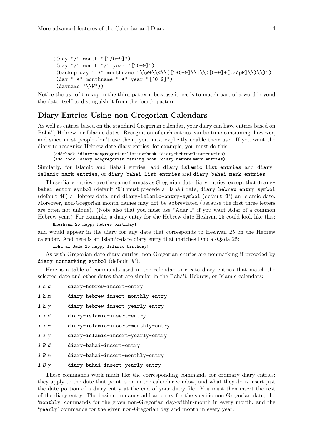<span id="page-17-0"></span>((day  $\sqrt{\ }$ " month "[^/0-9]") (day "/" month "/" year "[^0-9]") (backup day " \*" monthname "\\W+\\<\\([^\*0-9]\\|\\([0-9]+[:aApP]\\)\\)") (day " \*" monthname " \*" year "[^0-9]")  $(dayname "\\W")$ 

Notice the use of backup in the third pattern, because it needs to match part of a word beyond the date itself to distinguish it from the fourth pattern.

## Diary Entries Using non-Gregorian Calendars

As well as entries based on the standard Gregorian calendar, your diary can have entries based on Bahá'í, Hebrew, or Islamic dates. Recognition of such entries can be time-consuming, however, and since most people don't use them, you must explicitly enable their use. If you want the diary to recognize Hebrew-date diary entries, for example, you must do this:

```
(add-hook 'diary-nongregorian-listing-hook 'diary-hebrew-list-entries)
(add-hook 'diary-nongregorian-marking-hook 'diary-hebrew-mark-entries)
```
Similarly, for Islamic and Bahá'í entries, add diary-islamic-list-entries and diaryislamic-mark-entries, or diary-bahai-list-entries and diary-bahai-mark-entries.

These diary entries have the same formats as Gregorian-date diary entries; except that diarybahai-entry-symbol (default 'B') must precede a Bahá'í date, diary-hebrew-entry-symbol (default 'H') a Hebrew date, and diary-islamic-entry-symbol (default 'I') an Islamic date. Moreover, non-Gregorian month names may not be abbreviated (because the first three letters are often not unique). (Note also that you must use "Adar I" if you want Adar of a common Hebrew year.) For example, a diary entry for the Hebrew date Heshvan 25 could look like this:

HHeshvan 25 Happy Hebrew birthday!

and would appear in the diary for any date that corresponds to Heshvan 25 on the Hebrew calendar. And here is an Islamic-date diary entry that matches Dhu al-Qada 25:

IDhu al-Qada 25 Happy Islamic birthday!

As with Gregorian-date diary entries, non-Gregorian entries are nonmarking if preceded by diary-nonmarking-symbol (default '&').

Here is a table of commands used in the calendar to create diary entries that match the selected date and other dates that are similar in the Bahá'í, Hebrew, or Islamic calendars:

- i h d diary-hebrew-insert-entry
- i h m diary-hebrew-insert-monthly-entry
- i h y diary-hebrew-insert-yearly-entry
- i i d diary-islamic-insert-entry
- i i m diary-islamic-insert-monthly-entry
- i i y diary-islamic-insert-yearly-entry
- $i B d$  diary-bahai-insert-entry
- i B m diary-bahai-insert-monthly-entry
- i B y diary-bahai-insert-yearly-entry

These commands work much like the corresponding commands for ordinary diary entries: they apply to the date that point is on in the calendar window, and what they do is insert just the date portion of a diary entry at the end of your diary file. You must then insert the rest of the diary entry. The basic commands add an entry for the specific non-Gregorian date, the 'monthly' commands for the given non-Gregorian day-within-month in every month, and the 'yearly' commands for the given non-Gregorian day and month in every year.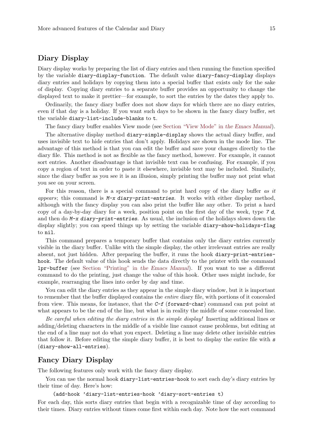## <span id="page-18-0"></span>Diary Display

Diary display works by preparing the list of diary entries and then running the function specified by the variable diary-display-function. The default value diary-fancy-display displays diary entries and holidays by copying them into a special buffer that exists only for the sake of display. Copying diary entries to a separate buffer provides an opportunity to change the displayed text to make it prettier—for example, to sort the entries by the dates they apply to.

Ordinarily, the fancy diary buffer does not show days for which there are no diary entries, even if that day is a holiday. If you want such days to be shown in the fancy diary buffer, set the variable diary-list-include-blanks to t.

The fancy diary buffer enables View mode (see Section "View Mode" in the Emacs Manual).

The alternative display method diary-simple-display shows the actual diary buffer, and uses invisible text to hide entries that don't apply. Holidays are shown in the mode line. The advantage of this method is that you can edit the buffer and save your changes directly to the diary file. This method is not as flexible as the fancy method, however. For example, it cannot sort entries. Another disadvantage is that invisible text can be confusing. For example, if you copy a region of text in order to paste it elsewhere, invisible text may be included. Similarly, since the diary buffer as you see it is an illusion, simply printing the buffer may not print what you see on your screen.

For this reason, there is a special command to print hard copy of the diary buffer as it appears; this command is  $M-x$  diary-print-entries. It works with either display method, although with the fancy display you can also print the buffer like any other. To print a hard copy of a day-by-day diary for a week, position point on the first day of the week, type 7 d, and then do M-x diary-print-entries. As usual, the inclusion of the holidays slows down the display slightly; you can speed things up by setting the variable diary-show-holidays-flag to nil.

This command prepares a temporary buffer that contains only the diary entries currently visible in the diary buffer. Unlike with the simple display, the other irrelevant entries are really absent, not just hidden. After preparing the buffer, it runs the hook diary-print-entrieshook. The default value of this hook sends the data directly to the printer with the command lpr-buffer (see Section "Printing" in the Emacs Manual). If you want to use a different command to do the printing, just change the value of this hook. Other uses might include, for example, rearranging the lines into order by day and time.

You can edit the diary entries as they appear in the simple diary window, but it is important to remember that the buffer displayed contains the entire diary file, with portions of it concealed from view. This means, for instance, that the  $C-f$  (forward-char) command can put point at what appears to be the end of the line, but what is in reality the middle of some concealed line.

Be careful when editing the diary entries in the simple display! Inserting additional lines or adding/deleting characters in the middle of a visible line cannot cause problems, but editing at the end of a line may not do what you expect. Deleting a line may delete other invisible entries that follow it. Before editing the simple diary buffer, it is best to display the entire file with s (diary-show-all-entries).

## Fancy Diary Display

The following features only work with the fancy diary display.

You can use the normal hook diary-list-entries-hook to sort each day's diary entries by their time of day. Here's how:

(add-hook 'diary-list-entries-hook 'diary-sort-entries t)

For each day, this sorts diary entries that begin with a recognizable time of day according to their times. Diary entries without times come first within each day. Note how the sort command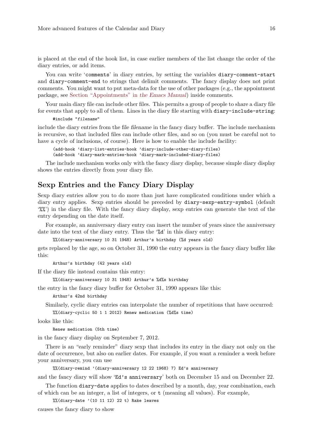<span id="page-19-0"></span>is placed at the end of the hook list, in case earlier members of the list change the order of the diary entries, or add items.

You can write 'comments' in diary entries, by setting the variables diary-comment-start and diary-comment-end to strings that delimit comments. The fancy display does not print comments. You might want to put meta-data for the use of other packages (e.g., the appointment package, see Section "Appointments" in the Emacs Manual) inside comments.

Your main diary file can include other files. This permits a group of people to share a diary file for events that apply to all of them. Lines in the diary file starting with diary-include-string:

#include "filename"

include the diary entries from the file filename in the fancy diary buffer. The include mechanism is recursive, so that included files can include other files, and so on (you must be careful not to have a cycle of inclusions, of course). Here is how to enable the include facility:

(add-hook 'diary-list-entries-hook 'diary-include-other-diary-files) (add-hook 'diary-mark-entries-hook 'diary-mark-included-diary-files)

The include mechanism works only with the fancy diary display, because simple diary display shows the entries directly from your diary file.

## Sexp Entries and the Fancy Diary Display

Sexp diary entries allow you to do more than just have complicated conditions under which a diary entry applies. Sexp entries should be preceded by diary-sexp-entry-symbol (default '%%') in the diary file. With the fancy diary display, sexp entries can generate the text of the entry depending on the date itself.

For example, an anniversary diary entry can insert the number of years since the anniversary date into the text of the diary entry. Thus the  $\mathcal{A}$  d' in this diary entry:

%%(diary-anniversary 10 31 1948) Arthur's birthday (%d years old)

gets replaced by the age, so on October 31, 1990 the entry appears in the fancy diary buffer like this:

Arthur's birthday (42 years old)

If the diary file instead contains this entry:

%%(diary-anniversary 10 31 1948) Arthur's %d%s birthday

the entry in the fancy diary buffer for October 31, 1990 appears like this:

Arthur's 42nd birthday

Similarly, cyclic diary entries can interpolate the number of repetitions that have occurred:

%%(diary-cyclic 50 1 1 2012) Renew medication (%d%s time)

looks like this:

Renew medication (5th time)

in the fancy diary display on September 7, 2012.

There is an "early reminder" diary sexp that includes its entry in the diary not only on the date of occurrence, but also on earlier dates. For example, if you want a reminder a week before your anniversary, you can use

%%(diary-remind '(diary-anniversary 12 22 1968) 7) Ed's anniversary

and the fancy diary will show 'Ed's anniversary' both on December 15 and on December 22.

The function diary-date applies to dates described by a month, day, year combination, each of which can be an integer, a list of integers, or t (meaning all values). For example,

 $\frac{1}{2}$  (diary-date '(10 11 12) 22 t) Rake leaves

causes the fancy diary to show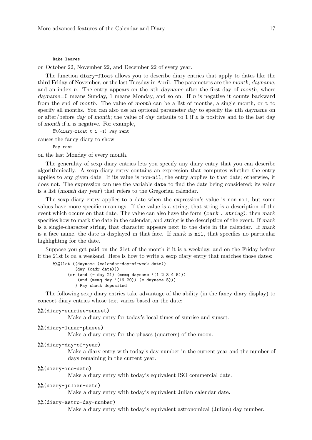#### <span id="page-20-0"></span>Rake leaves

on October 22, November 22, and December 22 of every year.

The function diary-float allows you to describe diary entries that apply to dates like the third Friday of November, or the last Tuesday in April. The parameters are the month, dayname, and an index n. The entry appears on the nth dayname after the first day of month, where  $dayname=0$  means Sunday, 1 means Monday, and so on. If n is negative it counts backward from the end of month. The value of month can be a list of months, a single month, or t to specify all months. You can also use an optional parameter day to specify the nth dayname on or after/before day of month; the value of day defaults to 1 if  $n$  is positive and to the last day of month if n is negative. For example,

%%(diary-float t 1 -1) Pay rent

causes the fancy diary to show

Pay rent

on the last Monday of every month.

The generality of sexp diary entries lets you specify any diary entry that you can describe algorithmically. A sexp diary entry contains an expression that computes whether the entry applies to any given date. If its value is non-nil, the entry applies to that date; otherwise, it does not. The expression can use the variable date to find the date being considered; its value is a list (month day year) that refers to the Gregorian calendar.

The sexp diary entry applies to a date when the expression's value is non-nil, but some values have more specific meanings. If the value is a string, that string is a description of the event which occurs on that date. The value can also have the form (mark . string); then mark specifies how to mark the date in the calendar, and string is the description of the event. If mark is a single-character string, that character appears next to the date in the calendar. If mark is a face name, the date is displayed in that face. If mark is nil, that specifies no particular highlighting for the date.

Suppose you get paid on the 21st of the month if it is a weekday, and on the Friday before if the 21st is on a weekend. Here is how to write a sexp diary entry that matches those dates:

```
&%%(let ((dayname (calendar-day-of-week date))
         (day (cadr date)))
      (or (and (= day 21) (memq dayname '(1 2 3 4 5)))
          (and (memq day '(19 20)) (= dayname 5)))
         ) Pay check deposited
```
The following sexp diary entries take advantage of the ability (in the fancy diary display) to concoct diary entries whose text varies based on the date:

### %%(diary-sunrise-sunset)

Make a diary entry for today's local times of sunrise and sunset.

#### %%(diary-lunar-phases)

Make a diary entry for the phases (quarters) of the moon.

#### %%(diary-day-of-year)

Make a diary entry with today's day number in the current year and the number of days remaining in the current year.

### %%(diary-iso-date)

Make a diary entry with today's equivalent ISO commercial date.

### %%(diary-julian-date)

Make a diary entry with today's equivalent Julian calendar date.

### %%(diary-astro-day-number)

Make a diary entry with today's equivalent astronomical (Julian) day number.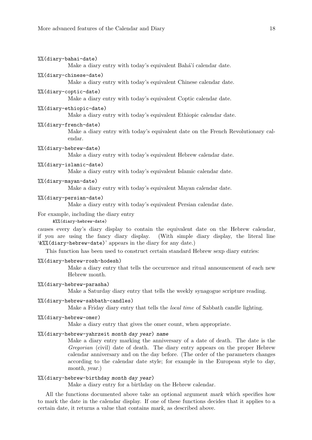#### <span id="page-21-0"></span>%%(diary-bahai-date)

Make a diary entry with today's equivalent Bahá'í calendar date.

#### %%(diary-chinese-date)

Make a diary entry with today's equivalent Chinese calendar date.

#### %%(diary-coptic-date)

Make a diary entry with today's equivalent Coptic calendar date.

#### %%(diary-ethiopic-date)

Make a diary entry with today's equivalent Ethiopic calendar date.

### %%(diary-french-date)

Make a diary entry with today's equivalent date on the French Revolutionary calendar.

#### %%(diary-hebrew-date)

Make a diary entry with today's equivalent Hebrew calendar date.

# %%(diary-islamic-date) Make a diary entry with today's equivalent Islamic calendar date.

#### %%(diary-mayan-date)

Make a diary entry with today's equivalent Mayan calendar date.

#### %%(diary-persian-date)

Make a diary entry with today's equivalent Persian calendar date.

## For example, including the diary entry

### &%%(diary-hebrew-date)

causes every day's diary display to contain the equivalent date on the Hebrew calendar, if you are using the fancy diary display. (With simple diary display, the literal line '&%%(diary-hebrew-date)' appears in the diary for any date.)

This function has been used to construct certain standard Hebrew sexp diary entries:

## %%(diary-hebrew-rosh-hodesh)

Make a diary entry that tells the occurrence and ritual announcement of each new Hebrew month.

#### %%(diary-hebrew-parasha)

Make a Saturday diary entry that tells the weekly synagogue scripture reading.

### %%(diary-hebrew-sabbath-candles)

Make a Friday diary entry that tells the *local time* of Sabbath candle lighting.

### %%(diary-hebrew-omer)

Make a diary entry that gives the omer count, when appropriate.

### %%(diary-hebrew-yahrzeit month day year) name

Make a diary entry marking the anniversary of a date of death. The date is the Gregorian (civil) date of death. The diary entry appears on the proper Hebrew calendar anniversary and on the day before. (The order of the parameters changes according to the calendar date style; for example in the European style to day, month, year.)

#### %%(diary-hebrew-birthday month day year)

Make a diary entry for a birthday on the Hebrew calendar.

All the functions documented above take an optional argument mark which specifies how to mark the date in the calendar display. If one of these functions decides that it applies to a certain date, it returns a value that contains mark, as described above.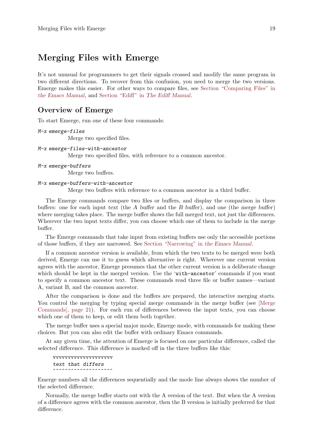# <span id="page-22-0"></span>Merging Files with Emerge

It's not unusual for programmers to get their signals crossed and modify the same program in two different directions. To recover from this confusion, you need to merge the two versions. Emerge makes this easier. For other ways to compare files, see Section "Comparing Files" in the Emacs Manual, and Section "Ediff" in The Ediff Manual.

# Overview of Emerge

To start Emerge, run one of these four commands:

M-x emerge-files Merge two specified files.

M-x emerge-files-with-ancestor Merge two specified files, with reference to a common ancestor.

M-x emerge-buffers Merge two buffers.

### M-x emerge-buffers-with-ancestor

Merge two buffers with reference to a common ancestor in a third buffer.

The Emerge commands compare two files or buffers, and display the comparison in three buffers: one for each input text (the A buffer and the B buffer), and one (the merge buffer) where merging takes place. The merge buffer shows the full merged text, not just the differences. Wherever the two input texts differ, you can choose which one of them to include in the merge buffer.

The Emerge commands that take input from existing buffers use only the accessible portions of those buffers, if they are narrowed. See Section "Narrowing" in the Emacs Manual.

If a common ancestor version is available, from which the two texts to be merged were both derived, Emerge can use it to guess which alternative is right. Wherever one current version agrees with the ancestor, Emerge presumes that the other current version is a deliberate change which should be kept in the merged version. Use the 'with-ancestor' commands if you want to specify a common ancestor text. These commands read three file or buffer names—variant A, variant B, and the common ancestor.

After the comparison is done and the buffers are prepared, the interactive merging starts. You control the merging by typing special merge commands in the merge buffer (see [\[Merge](#page-24-1) [Commands\], page 21](#page-24-1)). For each run of differences between the input texts, you can choose which one of them to keep, or edit them both together.

The merge buffer uses a special major mode, Emerge mode, with commands for making these choices. But you can also edit the buffer with ordinary Emacs commands.

At any given time, the attention of Emerge is focused on one particular difference, called the selected difference. This difference is marked off in the three buffers like this:

```
vvvvvvvvvvvvvvvvvvvv
text that differs
 ^^^^^^^^^^^^^^^^^^^^
```
Emerge numbers all the differences sequentially and the mode line always shows the number of the selected difference.

Normally, the merge buffer starts out with the A version of the text. But when the A version of a difference agrees with the common ancestor, then the B version is initially preferred for that difference.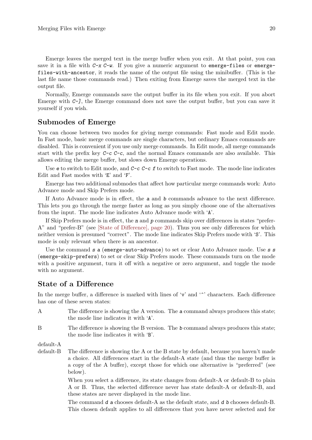<span id="page-23-0"></span>Emerge leaves the merged text in the merge buffer when you exit. At that point, you can save it in a file with  $C-x$   $C-w$ . If you give a numeric argument to emerge-files or emergefiles-with-ancestor, it reads the name of the output file using the minibuffer. (This is the last file name those commands read.) Then exiting from Emerge saves the merged text in the output file.

Normally, Emerge commands save the output buffer in its file when you exit. If you abort Emerge with  $C-I$ , the Emerge command does not save the output buffer, but you can save it yourself if you wish.

## Submodes of Emerge

You can choose between two modes for giving merge commands: Fast mode and Edit mode. In Fast mode, basic merge commands are single characters, but ordinary Emacs commands are disabled. This is convenient if you use only merge commands. In Edit mode, all merge commands start with the prefix key  $C-c$ , and the normal Emacs commands are also available. This allows editing the merge buffer, but slows down Emerge operations.

Use  $e$  to switch to Edit mode, and  $C-c$   $C-c$  f to switch to Fast mode. The mode line indicates Edit and Fast modes with 'E' and 'F'.

Emerge has two additional submodes that affect how particular merge commands work: Auto Advance mode and Skip Prefers mode.

If Auto Advance mode is in effect, the a and b commands advance to the next difference. This lets you go through the merge faster as long as you simply choose one of the alternatives from the input. The mode line indicates Auto Advance mode with 'A'.

If Skip Prefers mode is in effect, the n and p commands skip over differences in states "prefer-A" and "prefer-B" (see [\[State of Difference\], page 20\)](#page-23-1). Thus you see only differences for which neither version is presumed "correct". The mode line indicates Skip Prefers mode with 'S'. This mode is only relevant when there is an ancestor.

Use the command  $s a$  (emerge-auto-advance) to set or clear Auto Advance mode. Use  $s s$ (emerge-skip-prefers) to set or clear Skip Prefers mode. These commands turn on the mode with a positive argument, turn it off with a negative or zero argument, and toggle the mode with no argument.

## <span id="page-23-1"></span>State of a Difference

In the merge buffer, a difference is marked with lines of 'v' and '<sup> $\cdot$ </sup>' characters. Each difference has one of these seven states:

A The difference is showing the A version. The a command always produces this state; the mode line indicates it with 'A'. B The difference is showing the B version. The b command always produces this state; the mode line indicates it with 'B'. default-A default-B The difference is showing the A or the B state by default, because you haven't made a choice. All differences start in the default-A state (and thus the merge buffer is a copy of the A buffer), except those for which one alternative is "preferred" (see below). When you select a difference, its state changes from default-A or default-B to plain A or B. Thus, the selected difference never has state default-A or default-B, and

these states are never displayed in the mode line. The command  $d$  a chooses default-A as the default state, and  $d$  b chooses default-B.

This chosen default applies to all differences that you have never selected and for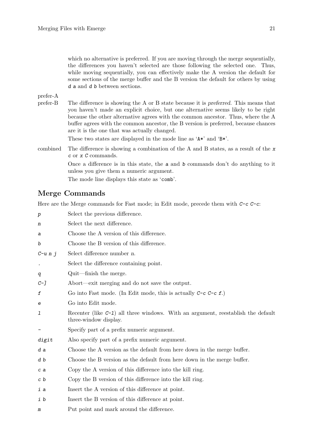<span id="page-24-0"></span>which no alternative is preferred. If you are moving through the merge sequentially, the differences you haven't selected are those following the selected one. Thus, while moving sequentially, you can effectively make the A version the default for some sections of the merge buffer and the B version the default for others by using d a and d b between sections.

prefer-A

prefer-B The difference is showing the A or B state because it is preferred. This means that you haven't made an explicit choice, but one alternative seems likely to be right because the other alternative agrees with the common ancestor. Thus, where the A buffer agrees with the common ancestor, the B version is preferred, because chances are it is the one that was actually changed.

These two states are displayed in the mode line as 'A\*' and 'B\*'.

combined The difference is showing a combination of the A and B states, as a result of the x c or x C commands.

Once a difference is in this state, the a and b commands don't do anything to it unless you give them a numeric argument.

The mode line displays this state as 'comb'.

# <span id="page-24-1"></span>Merge Commands

Here are the Merge commands for Fast mode; in Edit mode, precede them with  $C-c$   $-c$ .

| р         | Select the previous difference.                                                                              |
|-----------|--------------------------------------------------------------------------------------------------------------|
| n         | Select the next difference.                                                                                  |
| а         | Choose the A version of this difference.                                                                     |
| b         | Choose the B version of this difference.                                                                     |
| $C-u$ n j | Select difference number n.                                                                                  |
| $\bullet$ | Select the difference containing point.                                                                      |
| q         | Quit—finish the merge.                                                                                       |
| $C-J$     | Abort—exit merging and do not save the output.                                                               |
| f         | Go into Fast mode. (In Edit mode, this is actually $C-c$ $C-c$ $f$ .)                                        |
| e         | Go into Edit mode.                                                                                           |
| 1         | Recenter (like $C-1$ ) all three windows. With an argument, reestablish the default<br>three-window display. |
|           | Specify part of a prefix numeric argument.                                                                   |
| digit     | Also specify part of a prefix numeric argument.                                                              |
| d a       | Choose the A version as the default from here down in the merge buffer.                                      |
| d b       | Choose the B version as the default from here down in the merge buffer.                                      |
| c a       | Copy the A version of this difference into the kill ring.                                                    |
| c b       | Copy the B version of this difference into the kill ring.                                                    |
| i a       | Insert the A version of this difference at point.                                                            |
| i b       | Insert the B version of this difference at point.                                                            |
| m         | Put point and mark around the difference.                                                                    |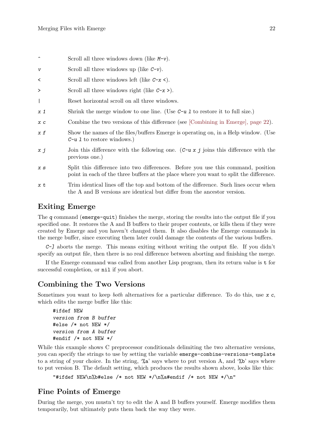- <span id="page-25-0"></span>Scroll all three windows down (like  $M-v$ ).
- $\mathbf{v}$  Scroll all three windows up (like  $\mathbf{C}-\mathbf{v}$ ).
- $\langle$  Scroll all three windows left (like  $C-x \langle \rangle$ ).
- > Scroll all three windows right (like  $C-x$ ).
- | Reset horizontal scroll on all three windows.
- $x 1$  Shrink the merge window to one line. (Use  $C-u 1$  to restore it to full size.)
- x c Combine the two versions of this difference (see [\[Combining in Emerge\], page 22\)](#page-25-1).
- x f Show the names of the files/buffers Emerge is operating on, in a Help window. (Use  $C-u$  1 to restore windows.)
- $x j$  Join this difference with the following one.  $(C-u x j)$  joins this difference with the previous one.)
- x s Split this difference into two differences. Before you use this command, position point in each of the three buffers at the place where you want to split the difference.
- x t Trim identical lines of the top and bottom of the difference. Such lines occur when the A and B versions are identical but differ from the ancestor version.

# Exiting Emerge

The q command (emerge-quit) finishes the merge, storing the results into the output file if you specified one. It restores the A and B buffers to their proper contents, or kills them if they were created by Emerge and you haven't changed them. It also disables the Emerge commands in the merge buffer, since executing them later could damage the contents of the various buffers.

 $C-J$  aborts the merge. This means exiting without writing the output file. If you didn't specify an output file, then there is no real difference between aborting and finishing the merge.

If the Emerge command was called from another Lisp program, then its return value is t for successful completion, or nil if you abort.

## <span id="page-25-1"></span>Combining the Two Versions

Sometimes you want to keep *both* alternatives for a particular difference. To do this, use  $x \in$ , which edits the merge buffer like this:

```
#ifdef NEW
version from B buffer
#else /* not NEW */
version from A buffer
#endif /* not NEW */
```
While this example shows C preprocessor conditionals delimiting the two alternative versions, you can specify the strings to use by setting the variable emerge-combine-versions-template to a string of your choice. In the string, '%a' says where to put version A, and '%b' says where to put version B. The default setting, which produces the results shown above, looks like this:

```
"#ifdef NEW\n%b#else /* not NEW */\n%a#endif /* not NEW */\n"
```
## Fine Points of Emerge

During the merge, you mustn't try to edit the A and B buffers yourself. Emerge modifies them temporarily, but ultimately puts them back the way they were.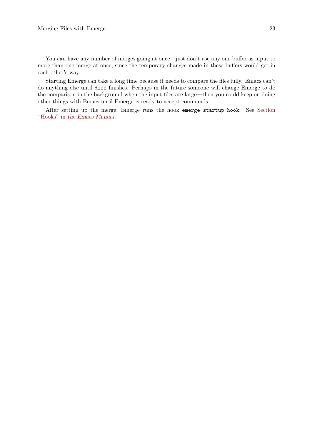<span id="page-26-0"></span>Starting Emerge can take a long time because it needs to compare the files fully. Emacs can't do anything else until diff finishes. Perhaps in the future someone will change Emerge to do the comparison in the background when the input files are large—then you could keep on doing other things with Emacs until Emerge is ready to accept commands.

After setting up the merge, Emerge runs the hook emerge-startup-hook. See Section "Hooks" in the Emacs Manual.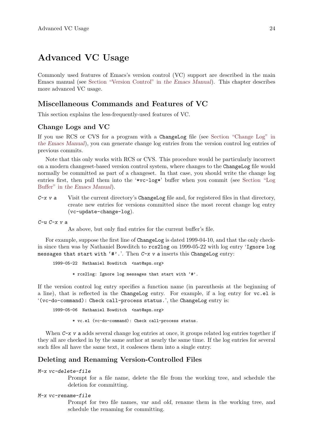# <span id="page-27-0"></span>Advanced VC Usage

Commonly used features of Emacs's version control (VC) support are described in the main Emacs manual (see Section "Version Control" in the Emacs Manual). This chapter describes more advanced VC usage.

# Miscellaneous Commands and Features of VC

This section explains the less-frequently-used features of VC.

## Change Logs and VC

If you use RCS or CVS for a program with a ChangeLog file (see Section "Change Log" in the Emacs Manual), you can generate change log entries from the version control log entries of previous commits.

Note that this only works with RCS or CVS. This procedure would be particularly incorrect on a modern changeset-based version control system, where changes to the ChangeLog file would normally be committed as part of a changeset. In that case, you should write the change log entries first, then pull them into the '\*vc-log\*' buffer when you commit (see Section "Log Buffer" in the Emacs Manual).

 $C-x$  v a Visit the current directory's ChangeLog file and, for registered files in that directory, create new entries for versions committed since the most recent change log entry (vc-update-change-log).

C-u C-x v a

As above, but only find entries for the current buffer's file.

For example, suppose the first line of ChangeLog is dated 1999-04-10, and that the only checkin since then was by Nathaniel Bowditch to rcs2log on 1999-05-22 with log entry 'Ignore log messages that start with '#'.'. Then  $C-x$  v a inserts this ChangeLog entry:

```
1999-05-22 Nathaniel Bowditch <nat@apn.org>
```
\* rcs2log: Ignore log messages that start with '#'.

If the version control log entry specifies a function name (in parenthesis at the beginning of a line), that is reflected in the ChangeLog entry. For example, if a log entry for vc.el is '(vc-do-command): Check call-process status.', the ChangeLog entry is:

1999-05-06 Nathaniel Bowditch <nat@apn.org>

\* vc.el (vc-do-command): Check call-process status.

When  $C-x$  v a adds several change log entries at once, it groups related log entries together if they all are checked in by the same author at nearly the same time. If the log entries for several such files all have the same text, it coalesces them into a single entry.

## <span id="page-27-1"></span>Deleting and Renaming Version-Controlled Files

#### M-x vc-delete-file

Prompt for a file name, delete the file from the working tree, and schedule the deletion for committing.

M-x vc-rename-file

Prompt for two file names, var and old, rename them in the working tree, and schedule the renaming for committing.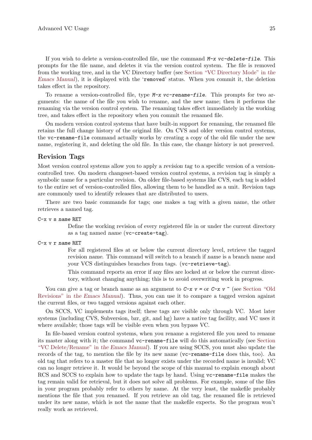<span id="page-28-0"></span>If you wish to delete a version-controlled file, use the command  $M-x$  vc-delete-file. This prompts for the file name, and deletes it via the version control system. The file is removed from the working tree, and in the VC Directory buffer (see Section "VC Directory Mode" in the Emacs Manual), it is displayed with the 'removed' status. When you commit it, the deletion takes effect in the repository.

To rename a version-controlled file, type  $M-x$  vc-rename-file. This prompts for two arguments: the name of the file you wish to rename, and the new name; then it performs the renaming via the version control system. The renaming takes effect immediately in the working tree, and takes effect in the repository when you commit the renamed file.

On modern version control systems that have built-in support for renaming, the renamed file retains the full change history of the original file. On CVS and older version control systems, the vc-rename-file command actually works by creating a copy of the old file under the new name, registering it, and deleting the old file. In this case, the change history is not preserved.

## Revision Tags

Most version control systems allow you to apply a revision tag to a specific version of a versioncontrolled tree. On modern changeset-based version control systems, a revision tag is simply a symbolic name for a particular revision. On older file-based systems like CVS, each tag is added to the entire set of version-controlled files, allowing them to be handled as a unit. Revision tags are commonly used to identify releases that are distributed to users.

There are two basic commands for tags; one makes a tag with a given name, the other retrieves a named tag.

### C-x v s name RET

Define the working revision of every registered file in or under the current directory as a tag named name (vc-create-tag).

### C-x v r name RET

For all registered files at or below the current directory level, retrieve the tagged revision name. This command will switch to a branch if name is a branch name and your VCS distinguishes branches from tags. (vc-retrieve-tag).

This command reports an error if any files are locked at or below the current directory, without changing anything; this is to avoid overwriting work in progress.

You can give a tag or branch name as an argument to  $C-x$  v = or  $C-x$  v  $\tilde{C}$  (see Section "Old") Revisions" in the Emacs Manual). Thus, you can use it to compare a tagged version against the current files, or two tagged versions against each other.

On SCCS, VC implements tags itself; these tags are visible only through VC. Most later systems (including CVS, Subversion, bzr, git, and hg) have a native tag facility, and VC uses it where available; those tags will be visible even when you bypass VC.

In file-based version control systems, when you rename a registered file you need to rename its master along with it; the command vc-rename-file will do this automatically (see [Section](#page-27-1) ["VC Delete/Rename" in](#page-27-1) the Emacs Manual). If you are using SCCS, you must also update the records of the tag, to mention the file by its new name (vc-rename-file does this, too). An old tag that refers to a master file that no longer exists under the recorded name is invalid; VC can no longer retrieve it. It would be beyond the scope of this manual to explain enough about RCS and SCCS to explain how to update the tags by hand. Using  $\nu$ -rename-file makes the tag remain valid for retrieval, but it does not solve all problems. For example, some of the files in your program probably refer to others by name. At the very least, the makefile probably mentions the file that you renamed. If you retrieve an old tag, the renamed file is retrieved under its new name, which is not the name that the makefile expects. So the program won't really work as retrieved.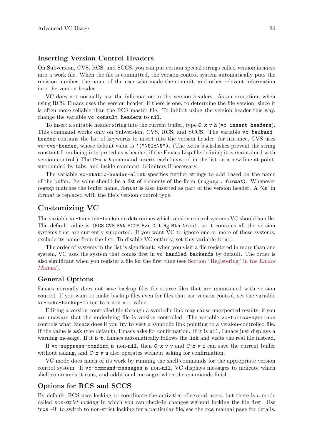## <span id="page-29-0"></span>Inserting Version Control Headers

On Subversion, CVS, RCS, and SCCS, you can put certain special strings called version headers into a work file. When the file is committed, the version control system automatically puts the revision number, the name of the user who made the commit, and other relevant information into the version header.

VC does not normally use the information in the version headers. As an exception, when using RCS, Emacs uses the version header, if there is one, to determine the file version, since it is often more reliable than the RCS master file. To inhibit using the version header this way, change the variable vc-consult-headers to nil.

To insert a suitable header string into the current buffer, type  $C-x$  v h (vc-insert-headers). This command works only on Subversion, CVS, RCS, and SCCS. The variable vc-backendheader contains the list of keywords to insert into the version header; for instance, CVS uses vc-cvs-header, whose default value is '("\\$Id\\$"). (The extra backslashes prevent the string constant from being interpreted as a header, if the Emacs Lisp file defining it is maintained with version control.) The  $C-x$  v h command inserts each keyword in the list on a new line at point, surrounded by tabs, and inside comment delimiters if necessary.

The variable vc-static-header-alist specifies further strings to add based on the name of the buffer. Its value should be a list of elements of the form (regexp . format). Whenever regexp matches the buffer name, format is also inserted as part of the version header. A '%s' in format is replaced with the file's version control type.

## Customizing VC

The variable vc-handled-backends determines which version control systems VC should handle. The default value is (RCS CVS SVN SCCS Bzr Git Hg Mtn Arch), so it contains all the version systems that are currently supported. If you want VC to ignore one or more of these systems, exclude its name from the list. To disable VC entirely, set this variable to nil.

The order of systems in the list is significant: when you visit a file registered in more than one system, VC uses the system that comes first in vc-handled-backends by default. The order is also significant when you register a file for the first time (see Section "Registering" in the Emacs Manual).

## General Options

Emacs normally does not save backup files for source files that are maintained with version control. If you want to make backup files even for files that use version control, set the variable vc-make-backup-files to a non-nil value.

Editing a version-controlled file through a symbolic link may cause unexpected results, if you are unaware that the underlying file is version-controlled. The variable vc-follow-symlinks controls what Emacs does if you try to visit a symbolic link pointing to a version-controlled file. If the value is ask (the default), Emacs asks for confirmation. If it is nil, Emacs just displays a warning message. If it is  $t$ , Emacs automatically follows the link and visits the real file instead.

If vc-suppress-confirm is non-nil, then  $C-x$  v v and  $C-x$  v i can save the current buffer without asking, and  $C-x$  v u also operates without asking for confirmation.

VC mode does much of its work by running the shell commands for the appropriate version control system. If vc-command-messages is non-nil, VC displays messages to indicate which shell commands it runs, and additional messages when the commands finish.

## Options for RCS and SCCS

By default, RCS uses locking to coordinate the activities of several users, but there is a mode called non-strict locking in which you can check-in changes without locking the file first. Use 'rcs -U' to switch to non-strict locking for a particular file, see the rcs manual page for details.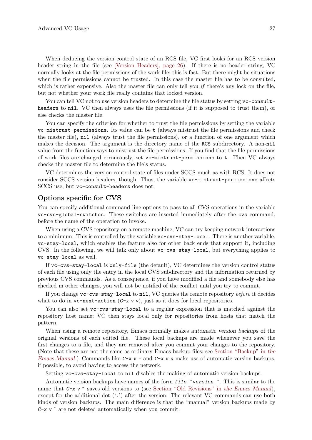<span id="page-30-0"></span>When deducing the version control state of an RCS file, VC first looks for an RCS version header string in the file (see [\[Version Headers\], page 26](#page-29-0)). If there is no header string, VC normally looks at the file permissions of the work file; this is fast. But there might be situations when the file permissions cannot be trusted. In this case the master file has to be consulted, which is rather expensive. Also the master file can only tell you if there's any lock on the file, but not whether your work file really contains that locked version.

You can tell VC not to use version headers to determine the file status by setting vc-consultheaders to nil. VC then always uses the file permissions (if it is supposed to trust them), or else checks the master file.

You can specify the criterion for whether to trust the file permissions by setting the variable vc-mistrust-permissions. Its value can be t (always mistrust the file permissions and check the master file), nil (always trust the file permissions), or a function of one argument which makes the decision. The argument is the directory name of the RCS subdirectory. A non-nil value from the function says to mistrust the file permissions. If you find that the file permissions of work files are changed erroneously, set vc-mistrust-permissions to t. Then VC always checks the master file to determine the file's status.

VC determines the version control state of files under SCCS much as with RCS. It does not consider SCCS version headers, though. Thus, the variable vc-mistrust-permissions affects SCCS use, but vc-consult-headers does not.

### Options specific for CVS

You can specify additional command line options to pass to all CVS operations in the variable vc-cvs-global-switches. These switches are inserted immediately after the cvs command, before the name of the operation to invoke.

When using a CVS repository on a remote machine, VC can try keeping network interactions to a minimum. This is controlled by the variable vc-cvs-stay-local. There is another variable, vc-stay-local, which enables the feature also for other back ends that support it, including CVS. In the following, we will talk only about vc-cvs-stay-local, but everything applies to vc-stay-local as well.

If vc-cvs-stay-local is only-file (the default), VC determines the version control status of each file using only the entry in the local CVS subdirectory and the information returned by previous CVS commands. As a consequence, if you have modified a file and somebody else has checked in other changes, you will not be notified of the conflict until you try to commit.

If you change vc-cvs-stay-local to nil, VC queries the remote repository before it decides what to do in  $vc$ -next-action  $(C-x \, v \, v)$ , just as it does for local repositories.

You can also set vc-cvs-stay-local to a regular expression that is matched against the repository host name; VC then stays local only for repositories from hosts that match the pattern.

When using a remote repository, Emacs normally makes automatic version backups of the original versions of each edited file. These local backups are made whenever you save the first changes to a file, and they are removed after you commit your changes to the repository. (Note that these are not the same as ordinary Emacs backup files; see Section "Backup" in the Emacs Manual.) Commands like  $C-x$   $v =$  and  $C-x$   $v u$  make use of automatic version backups, if possible, to avoid having to access the network.

Setting vc-cvs-stay-local to nil disables the making of automatic version backups.

Automatic version backups have names of the form file.~version.~. This is similar to the name that  $C-x$  v  $\tilde{c}$  saves old versions to (see Section "Old Revisions" in the Emacs Manual), except for the additional dot  $(2)$  after the version. The relevant VC commands can use both kinds of version backups. The main difference is that the "manual" version backups made by  $C\neg x$   $v$   $\tilde{\ }$  are not deleted automatically when you commit.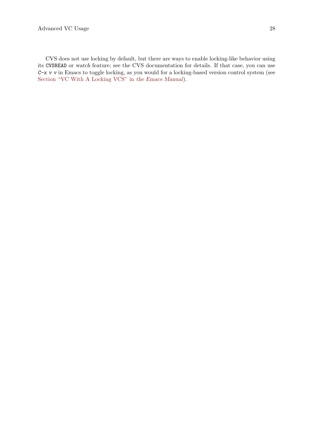CVS does not use locking by default, but there are ways to enable locking-like behavior using its CVSREAD or watch feature; see the CVS documentation for details. If that case, you can use C-x v v in Emacs to toggle locking, as you would for a locking-based version control system (see Section "VC With A Locking VCS" in the Emacs Manual).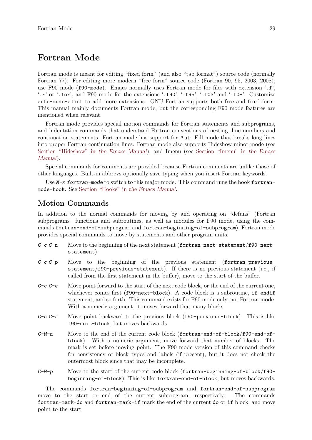# <span id="page-32-0"></span>Fortran Mode

Fortran mode is meant for editing "fixed form" (and also "tab format") source code (normally Fortran 77). For editing more modern "free form" source code (Fortran 90, 95, 2003, 2008), use F90 mode (f90-mode). Emacs normally uses Fortran mode for files with extension '.f', '.F' or '.for', and F90 mode for the extensions '.f90', '.f95', '.f03' and '.f08'. Customize auto-mode-alist to add more extensions. GNU Fortran supports both free and fixed form. This manual mainly documents Fortran mode, but the corresponding F90 mode features are mentioned when relevant.

Fortran mode provides special motion commands for Fortran statements and subprograms, and indentation commands that understand Fortran conventions of nesting, line numbers and continuation statements. Fortran mode has support for Auto Fill mode that breaks long lines into proper Fortran continuation lines. Fortran mode also supports Hideshow minor mode (see Section "Hideshow" in the Emacs Manual), and Imenu (see Section "Imenu" in the Emacs Manual).

Special commands for comments are provided because Fortran comments are unlike those of other languages. Built-in abbrevs optionally save typing when you insert Fortran keywords.

Use  $M-x$  fortran-mode to switch to this major mode. This command runs the hook fortranmode-hook. See Section "Hooks" in the Emacs Manual.

# Motion Commands

In addition to the normal commands for moving by and operating on "defuns" (Fortran subprograms—functions and subroutines, as well as modules for F90 mode, using the commands fortran-end-of-subprogram and fortran-beginning-of-subprogram), Fortran mode provides special commands to move by statements and other program units.

- $C-c$   $C-n$  Move to the beginning of the next statement (fortran-next-statement/f90-nextstatement).
- $C-c$  C-p Move to the beginning of the previous statement (fortran-previousstatement/f90-previous-statement). If there is no previous statement (i.e., if called from the first statement in the buffer), move to the start of the buffer.
- $C-c \rightarrow C-e$  Move point forward to the start of the next code block, or the end of the current one, whichever comes first (f90-next-block). A code block is a subroutine, if-endif statement, and so forth. This command exists for F90 mode only, not Fortran mode. With a numeric argument, it moves forward that many blocks.
- C-c C-a Move point backward to the previous block (f90-previous-block). This is like f90-next-block, but moves backwards.
- C-M-n Move to the end of the current code block (fortran-end-of-block/f90-end-ofblock). With a numeric argument, move forward that number of blocks. The mark is set before moving point. The F90 mode version of this command checks for consistency of block types and labels (if present), but it does not check the outermost block since that may be incomplete.
- $C-M-p$  Move to the start of the current code block (fortran-beginning-of-block/f90beginning-of-block). This is like fortran-end-of-block, but moves backwards.

The commands fortran-beginning-of-subprogram and fortran-end-of-subprogram move to the start or end of the current subprogram, respectively. The commands fortran-mark-do and fortran-mark-if mark the end of the current do or if block, and move point to the start.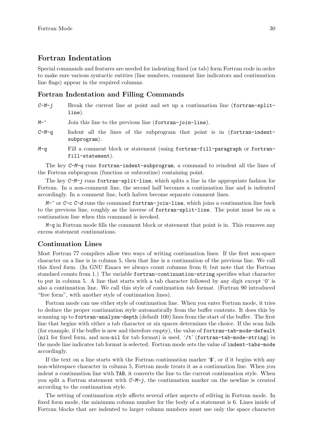## <span id="page-33-0"></span>Fortran Indentation

Special commands and features are needed for indenting fixed (or tab) form Fortran code in order to make sure various syntactic entities (line numbers, comment line indicators and continuation line flags) appear in the required columns.

### Fortran Indentation and Filling Commands

| $C-M-j$       | Break the current line at point and set up a continuation line (fortran-split-<br>line).          |
|---------------|---------------------------------------------------------------------------------------------------|
| $M - \hat{ }$ | Join this line to the previous line (fortran-join-line).                                          |
| $C-M-q$       | Indent all the lines of the subprogram that point is in (fortran-indent-<br>subprogram).          |
| $M-q$         | Fill a comment block or statement (using fortran-fill-paragraph or fortran-<br>fill-statement).   |
|               | The level $C-M_{\alpha}$ runs $f$ extrep-indept-cubpresses a semmand to rejudent all the lines of |

The key C-M-q runs fortran-indent-subprogram, a command to reindent all the lines of the Fortran subprogram (function or subroutine) containing point.

The key  $C-M-j$  runs fortran-split-line, which splits a line in the appropriate fashion for Fortran. In a non-comment line, the second half becomes a continuation line and is indented accordingly. In a comment line, both halves become separate comment lines.

 $M-$ <sup>o</sup> or C-c C-d runs the command fortran-join-line, which joins a continuation line back to the previous line, roughly as the inverse of fortran-split-line. The point must be on a continuation line when this command is invoked.

 $M-g$  in Fortran mode fills the comment block or statement that point is in. This removes any excess statement continuations.

## <span id="page-33-1"></span>Continuation Lines

Most Fortran 77 compilers allow two ways of writing continuation lines. If the first non-space character on a line is in column 5, then that line is a continuation of the previous line. We call this fixed form. (In GNU Emacs we always count columns from 0; but note that the Fortran standard counts from 1.) The variable fortran-continuation-string specifies what character to put in column 5. A line that starts with a tab character followed by any digit except '0' is also a continuation line. We call this style of continuation tab format. (Fortran 90 introduced "free form", with another style of continuation lines).

Fortran mode can use either style of continuation line. When you enter Fortran mode, it tries to deduce the proper continuation style automatically from the buffer contents. It does this by scanning up to fortran-analyze-depth (default 100) lines from the start of the buffer. The first line that begins with either a tab character or six spaces determines the choice. If the scan fails (for example, if the buffer is new and therefore empty), the value of fortran-tab-mode-default (nil for fixed form, and non-nil for tab format) is used. '/t' (fortran-tab-mode-string) in the mode line indicates tab format is selected. Fortran mode sets the value of indent-tabs-mode accordingly.

If the text on a line starts with the Fortran continuation marker '\$', or if it begins with any non-whitespace character in column 5, Fortran mode treats it as a continuation line. When you indent a continuation line with TAB, it converts the line to the current continuation style. When you split a Fortran statement with  $C-M-j$ , the continuation marker on the newline is created according to the continuation style.

The setting of continuation style affects several other aspects of editing in Fortran mode. In fixed form mode, the minimum column number for the body of a statement is 6. Lines inside of Fortran blocks that are indented to larger column numbers must use only the space character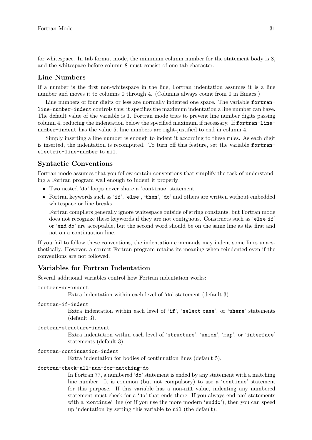<span id="page-34-0"></span>for whitespace. In tab format mode, the minimum column number for the statement body is 8, and the whitespace before column 8 must consist of one tab character.

## Line Numbers

If a number is the first non-whitespace in the line, Fortran indentation assumes it is a line number and moves it to columns 0 through 4. (Columns always count from 0 in Emacs.)

Line numbers of four digits or less are normally indented one space. The variable fortranline-number-indent controls this; it specifies the maximum indentation a line number can have. The default value of the variable is 1. Fortran mode tries to prevent line number digits passing column 4, reducing the indentation below the specified maximum if necessary. If fortran-linenumber-indent has the value 5, line numbers are right-justified to end in column 4.

Simply inserting a line number is enough to indent it according to these rules. As each digit is inserted, the indentation is recomputed. To turn off this feature, set the variable fortranelectric-line-number to nil.

## Syntactic Conventions

Fortran mode assumes that you follow certain conventions that simplify the task of understanding a Fortran program well enough to indent it properly:

- Two nested 'do' loops never share a 'continue' statement.
- Fortran keywords such as 'if', 'else', 'then', 'do' and others are written without embedded whitespace or line breaks.

Fortran compilers generally ignore whitespace outside of string constants, but Fortran mode does not recognize these keywords if they are not contiguous. Constructs such as 'else if' or 'end do' are acceptable, but the second word should be on the same line as the first and not on a continuation line.

If you fail to follow these conventions, the indentation commands may indent some lines unaesthetically. However, a correct Fortran program retains its meaning when reindented even if the conventions are not followed.

## Variables for Fortran Indentation

Several additional variables control how Fortran indentation works:

```
fortran-do-indent
```
Extra indentation within each level of 'do' statement (default 3).

fortran-if-indent

Extra indentation within each level of 'if', 'select case', or 'where' statements (default 3).

fortran-structure-indent

Extra indentation within each level of 'structure', 'union', 'map', or 'interface' statements (default 3).

#### fortran-continuation-indent

Extra indentation for bodies of continuation lines (default 5).

### fortran-check-all-num-for-matching-do

In Fortran 77, a numbered 'do' statement is ended by any statement with a matching line number. It is common (but not compulsory) to use a 'continue' statement for this purpose. If this variable has a non-nil value, indenting any numbered statement must check for a 'do' that ends there. If you always end 'do' statements with a 'continue' line (or if you use the more modern 'enddo'), then you can speed up indentation by setting this variable to nil (the default).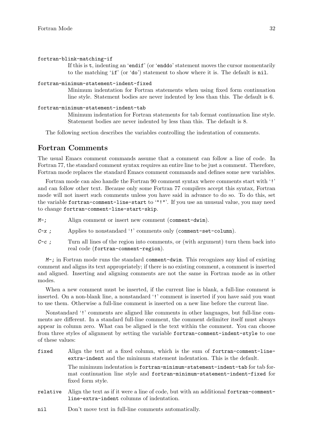```
fortran-blink-matching-if
```
If this is t, indenting an 'endif' (or 'enddo' statement moves the cursor momentarily to the matching 'if' (or 'do') statement to show where it is. The default is nil.

```
fortran-minimum-statement-indent-fixed
```
Minimum indentation for Fortran statements when using fixed form continuation line style. Statement bodies are never indented by less than this. The default is 6.

```
fortran-minimum-statement-indent-tab
```
Minimum indentation for Fortran statements for tab format continuation line style. Statement bodies are never indented by less than this. The default is 8.

The following section describes the variables controlling the indentation of comments.

# Fortran Comments

The usual Emacs comment commands assume that a comment can follow a line of code. In Fortran 77, the standard comment syntax requires an entire line to be just a comment. Therefore, Fortran mode replaces the standard Emacs comment commands and defines some new variables.

Fortran mode can also handle the Fortran 90 comment syntax where comments start with '!' and can follow other text. Because only some Fortran 77 compilers accept this syntax, Fortran mode will not insert such comments unless you have said in advance to do so. To do this, set the variable fortran-comment-line-start to '"!"'. If you use an unusual value, you may need to change fortran-comment-line-start-skip.

- $M-$ ; Align comment or insert new comment (comment-dwim).
- $C-x$ ; Applies to nonstandard '!' comments only (comment-set-column).
- $C-c$ ; Turn all lines of the region into comments, or (with argument) turn them back into real code (fortran-comment-region).

M-; in Fortran mode runs the standard comment-dwim. This recognizes any kind of existing comment and aligns its text appropriately; if there is no existing comment, a comment is inserted and aligned. Inserting and aligning comments are not the same in Fortran mode as in other modes.

When a new comment must be inserted, if the current line is blank, a full-line comment is inserted. On a non-blank line, a nonstandard '!' comment is inserted if you have said you want to use them. Otherwise a full-line comment is inserted on a new line before the current line.

Nonstandard '!' comments are aligned like comments in other languages, but full-line comments are different. In a standard full-line comment, the comment delimiter itself must always appear in column zero. What can be aligned is the text within the comment. You can choose from three styles of alignment by setting the variable fortran-comment-indent-style to one of these values:

- fixed Align the text at a fixed column, which is the sum of fortran-comment-lineextra-indent and the minimum statement indentation. This is the default. The minimum indentation is fortran-minimum-statement-indent-tab for tab format continuation line style and fortran-minimum-statement-indent-fixed for fixed form style.
- relative Align the text as if it were a line of code, but with an additional fortran-commentline-extra-indent columns of indentation.
- nil Don't move text in full-line comments automatically.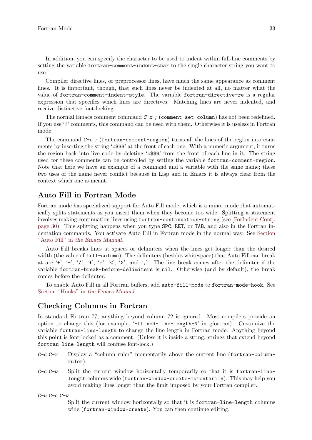<span id="page-36-0"></span>In addition, you can specify the character to be used to indent within full-line comments by setting the variable fortran-comment-indent-char to the single-character string you want to use.

Compiler directive lines, or preprocessor lines, have much the same appearance as comment lines. It is important, though, that such lines never be indented at all, no matter what the value of fortran-comment-indent-style. The variable fortran-directive-re is a regular expression that specifies which lines are directives. Matching lines are never indented, and receive distinctive font-locking.

The normal Emacs comment command  $C-x$ ; (comment-set-column) has not been redefined. If you use '!' comments, this command can be used with them. Otherwise it is useless in Fortran mode.

The command C-c; (fortran-comment-region) turns all the lines of the region into comments by inserting the string 'c $\frac{2}{3}$ ' at the front of each one. With a numeric argument, it turns the region back into live code by deleting 'c\$\$\$' from the front of each line in it. The string used for these comments can be controlled by setting the variable fortran-comment-region. Note that here we have an example of a command and a variable with the same name; these two uses of the name never conflict because in Lisp and in Emacs it is always clear from the context which one is meant.

## Auto Fill in Fortran Mode

Fortran mode has specialized support for Auto Fill mode, which is a minor mode that automatically splits statements as you insert them when they become too wide. Splitting a statement involves making continuation lines using fortran-continuation-string (see [\[ForIndent Cont\],](#page-33-1) [page 30\)](#page-33-1). This splitting happens when you type SPC, RET, or TAB, and also in the Fortran indentation commands. You activate Auto Fill in Fortran mode in the normal way. See Section "Auto Fill" in the Emacs Manual.

Auto Fill breaks lines at spaces or delimiters when the lines get longer than the desired width (the value of fill-column). The delimiters (besides whitespace) that Auto Fill can break at are '+', '-', '/', '\*', '=', '<', '>', and ','. The line break comes after the delimiter if the variable fortran-break-before-delimiters is nil. Otherwise (and by default), the break comes before the delimiter.

To enable Auto Fill in all Fortran buffers, add auto-fill-mode to fortran-mode-hook. See Section "Hooks" in the Emacs Manual.

## Checking Columns in Fortran

In standard Fortran 77, anything beyond column 72 is ignored. Most compilers provide an option to change this (for example, '-ffixed-line-length-N' in gfortran). Customize the variable fortran-line-length to change the line length in Fortran mode. Anything beyond this point is font-locked as a comment. (Unless it is inside a string: strings that extend beyond fortran-line-length will confuse font-lock.)

- $C-c C-r$  Display a "column ruler" momentarily above the current line (fortran-columnruler).
- $C-c-c-w$  Split the current window horizontally temporarily so that it is fortran-linelength columns wide (fortran-window-create-momentarily). This may help you avoid making lines longer than the limit imposed by your Fortran compiler.

 $C-u$   $C-c$   $C-w$ 

Split the current window horizontally so that it is fortran-line-length columns wide (fortran-window-create). You can then continue editing.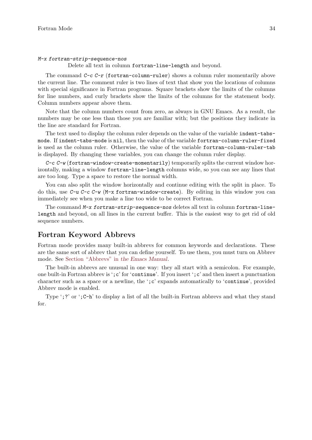#### <span id="page-37-0"></span>M-x fortran-strip-sequence-nos

Delete all text in column fortran-line-length and beyond.

The command  $C-c$   $C-r$  (fortran-column-ruler) shows a column ruler momentarily above the current line. The comment ruler is two lines of text that show you the locations of columns with special significance in Fortran programs. Square brackets show the limits of the columns for line numbers, and curly brackets show the limits of the columns for the statement body. Column numbers appear above them.

Note that the column numbers count from zero, as always in GNU Emacs. As a result, the numbers may be one less than those you are familiar with; but the positions they indicate in the line are standard for Fortran.

The text used to display the column ruler depends on the value of the variable indent-tabsmode. If indent-tabs-mode is nil, then the value of the variable fortran-column-ruler-fixed is used as the column ruler. Otherwise, the value of the variable fortran-column-ruler-tab is displayed. By changing these variables, you can change the column ruler display.

 $C-c$  C-w (fortran-window-create-momentarily) temporarily splits the current window horizontally, making a window fortran-line-length columns wide, so you can see any lines that are too long. Type a space to restore the normal width.

You can also split the window horizontally and continue editing with the split in place. To do this, use  $C-u$   $C-c$   $\sim$   $(N-x)$  fortran-window-create). By editing in this window you can immediately see when you make a line too wide to be correct Fortran.

The command M-x fortran-strip-sequence-nos deletes all text in column fortran-linelength and beyond, on all lines in the current buffer. This is the easiest way to get rid of old sequence numbers.

## Fortran Keyword Abbrevs

Fortran mode provides many built-in abbrevs for common keywords and declarations. These are the same sort of abbrev that you can define yourself. To use them, you must turn on Abbrev mode. See Section "Abbrevs" in the Emacs Manual.

The built-in abbrevs are unusual in one way: they all start with a semicolon. For example, one built-in Fortran abbrev is ';c' for 'continue'. If you insert ';c' and then insert a punctuation character such as a space or a newline, the ';c' expands automatically to 'continue', provided Abbrev mode is enabled.

Type ';?' or ';C-h' to display a list of all the built-in Fortran abbrevs and what they stand for.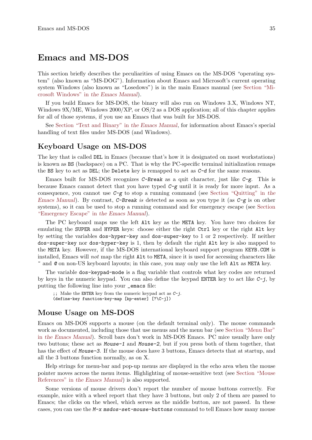# <span id="page-38-0"></span>Emacs and MS-DOS

This section briefly describes the peculiarities of using Emacs on the MS-DOS "operating system" (also known as "MS-DOG"). Information about Emacs and Microsoft's current operating system Windows (also known as "Losedows") is in the main Emacs manual (see Section "Microsoft Windows" in the Emacs Manual).

If you build Emacs for MS-DOS, the binary will also run on Windows 3.X, Windows NT, Windows 9X/ME, Windows 2000/XP, or OS/2 as a DOS application; all of this chapter applies for all of those systems, if you use an Emacs that was built for MS-DOS.

See Section "Text and Binary" in the Emacs Manual, for information about Emacs's special handling of text files under MS-DOS (and Windows).

# Keyboard Usage on MS-DOS

The key that is called DEL in Emacs (because that's how it is designated on most workstations) is known as BS (backspace) on a PC. That is why the PC-specific terminal initialization remaps the BS key to act as DEL; the Delete key is remapped to act as  $C-d$  for the same reasons.

Emacs built for MS-DOS recognizes  $C$ -Break as a quit character, just like  $C$ -g. This is because Emacs cannot detect that you have typed  $C-g$  until it is ready for more input. As a consequence, you cannot use  $C-\mathcal{g}$  to stop a running command (see Section "Quitting" in the Emacs Manual). By contrast, C-Break is detected as soon as you type it (as  $C-g$  is on other systems), so it can be used to stop a running command and for emergency escape (see Section "Emergency Escape" in the Emacs Manual).

The PC keyboard maps use the left Alt key as the META key. You have two choices for emulating the SUPER and HYPER keys: choose either the right Ctrl key or the right Alt key by setting the variables dos-hyper-key and dos-super-key to 1 or 2 respectively. If neither dos-super-key nor dos-hyper-key is 1, then by default the right Alt key is also mapped to the META key. However, if the MS-DOS international keyboard support program KEYB.COM is installed, Emacs will not map the right Alt to META, since it is used for accessing characters like ~ and @ on non-US keyboard layouts; in this case, you may only use the left Alt as META key.

The variable dos-keypad-mode is a flag variable that controls what key codes are returned by keys in the numeric keypad. You can also define the keypad ENTER key to act like  $C-i$ , by putting the following line into your \_emacs file:

;; Make the ENTER key from the numeric keypad act as  $C-i$ . (define-key function-key-map [kp-enter] [?\C-j])

## Mouse Usage on MS-DOS

Emacs on MS-DOS supports a mouse (on the default terminal only). The mouse commands work as documented, including those that use menus and the menu bar (see Section "Menu Bar" in the Emacs Manual). Scroll bars don't work in MS-DOS Emacs. PC mice usually have only two buttons; these act as Mouse-1 and Mouse-2, but if you press both of them together, that has the effect of Mouse-3. If the mouse does have 3 buttons, Emacs detects that at startup, and all the 3 buttons function normally, as on X.

Help strings for menu-bar and pop-up menus are displayed in the echo area when the mouse pointer moves across the menu items. Highlighting of mouse-sensitive text (see Section "Mouse References" in the Emacs Manual) is also supported.

Some versions of mouse drivers don't report the number of mouse buttons correctly. For example, mice with a wheel report that they have 3 buttons, but only 2 of them are passed to Emacs; the clicks on the wheel, which serves as the middle button, are not passed. In these cases, you can use the M-x msdos-set-mouse-buttons command to tell Emacs how many mouse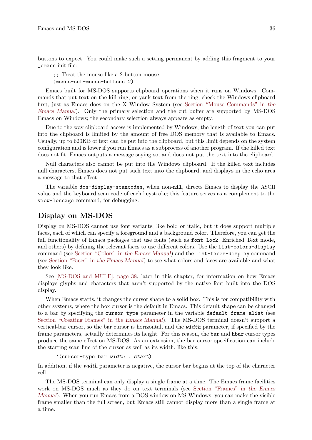<span id="page-39-0"></span>buttons to expect. You could make such a setting permanent by adding this fragment to your \_emacs init file:

;; Treat the mouse like a 2-button mouse.

(msdos-set-mouse-buttons 2)

Emacs built for MS-DOS supports clipboard operations when it runs on Windows. Commands that put text on the kill ring, or yank text from the ring, check the Windows clipboard first, just as Emacs does on the X Window System (see Section "Mouse Commands" in the Emacs Manual). Only the primary selection and the cut buffer are supported by MS-DOS Emacs on Windows; the secondary selection always appears as empty.

Due to the way clipboard access is implemented by Windows, the length of text you can put into the clipboard is limited by the amount of free DOS memory that is available to Emacs. Usually, up to 620KB of text can be put into the clipboard, but this limit depends on the system configuration and is lower if you run Emacs as a subprocess of another program. If the killed text does not fit, Emacs outputs a message saying so, and does not put the text into the clipboard.

Null characters also cannot be put into the Windows clipboard. If the killed text includes null characters, Emacs does not put such text into the clipboard, and displays in the echo area a message to that effect.

The variable dos-display-scancodes, when non-nil, directs Emacs to display the ASCII value and the keyboard scan code of each keystroke; this feature serves as a complement to the view-lossage command, for debugging.

## Display on MS-DOS

Display on MS-DOS cannot use font variants, like bold or italic, but it does support multiple faces, each of which can specify a foreground and a background color. Therefore, you can get the full functionality of Emacs packages that use fonts (such as font-lock, Enriched Text mode, and others) by defining the relevant faces to use different colors. Use the list-colors-display command (see Section "Colors" in the Emacs Manual) and the list-faces-display command (see Section "Faces" in the Emacs Manual) to see what colors and faces are available and what they look like.

See [\[MS-DOS and MULE\], page 38](#page-41-1), later in this chapter, for information on how Emacs displays glyphs and characters that aren't supported by the native font built into the DOS display.

When Emacs starts, it changes the cursor shape to a solid box. This is for compatibility with other systems, where the box cursor is the default in Emacs. This default shape can be changed to a bar by specifying the cursor-type parameter in the variable default-frame-alist (see Section "Creating Frames" in the Emacs Manual). The MS-DOS terminal doesn't support a vertical-bar cursor, so the bar cursor is horizontal, and the width parameter, if specified by the frame parameters, actually determines its height. For this reason, the bar and hbar cursor types produce the same effect on MS-DOS. As an extension, the bar cursor specification can include the starting scan line of the cursor as well as its width, like this:

```
'(cursor-type bar width . start)
```
In addition, if the width parameter is negative, the cursor bar begins at the top of the character cell.

The MS-DOS terminal can only display a single frame at a time. The Emacs frame facilities work on MS-DOS much as they do on text terminals (see Section "Frames" in the Emacs Manual). When you run Emacs from a DOS window on MS-Windows, you can make the visible frame smaller than the full screen, but Emacs still cannot display more than a single frame at a time.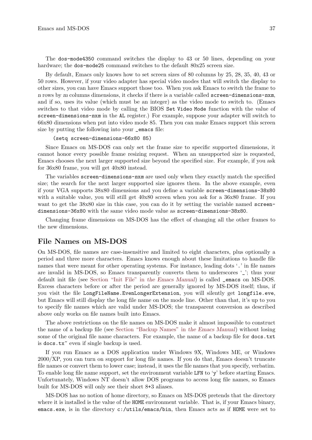<span id="page-40-0"></span>The dos-mode4350 command switches the display to 43 or 50 lines, depending on your hardware; the dos-mode25 command switches to the default  $80x25$  screen size.

By default, Emacs only knows how to set screen sizes of 80 columns by 25, 28, 35, 40, 43 or 50 rows. However, if your video adapter has special video modes that will switch the display to other sizes, you can have Emacs support those too. When you ask Emacs to switch the frame to n rows by m columns dimensions, it checks if there is a variable called  $screen\text{-dimensions-}nxm$ . and if so, uses its value (which must be an integer) as the video mode to switch to. (Emacs switches to that video mode by calling the BIOS Set Video Mode function with the value of screen-dimensions-nxm in the AL register.) For example, suppose your adapter will switch to 66x80 dimensions when put into video mode 85. Then you can make Emacs support this screen size by putting the following into your \_emacs file:

(setq screen-dimensions-66x80 85)

Since Emacs on MS-DOS can only set the frame size to specific supported dimensions, it cannot honor every possible frame resizing request. When an unsupported size is requested, Emacs chooses the next larger supported size beyond the specified size. For example, if you ask for 36x80 frame, you will get 40x80 instead.

The variables screen-dimensions-nxm are used only when they exactly match the specified size; the search for the next larger supported size ignores them. In the above example, even if your VGA supports 38x80 dimensions and you define a variable screen-dimensions-38x80 with a suitable value, you will still get  $40x80$  screen when you ask for a  $36x80$  frame. If you want to get the 38x80 size in this case, you can do it by setting the variable named screendimensions-36x80 with the same video mode value as screen-dimensions-38x80.

Changing frame dimensions on MS-DOS has the effect of changing all the other frames to the new dimensions.

## File Names on MS-DOS

On MS-DOS, file names are case-insensitive and limited to eight characters, plus optionally a period and three more characters. Emacs knows enough about these limitations to handle file names that were meant for other operating systems. For instance, leading dots '.' in file names are invalid in MS-DOS, so Emacs transparently converts them to underscores '\_'; thus your default init file (see Section "Init File" in the Emacs Manual) is called \_emacs on MS-DOS. Excess characters before or after the period are generally ignored by MS-DOS itself; thus, if you visit the file LongFileName.EvenLongerExtension, you will silently get longfile.eve, but Emacs will still display the long file name on the mode line. Other than that, it's up to you to specify file names which are valid under MS-DOS; the transparent conversion as described above only works on file names built into Emacs.

The above restrictions on the file names on MS-DOS make it almost impossible to construct the name of a backup file (see Section "Backup Names" in the Emacs Manual) without losing some of the original file name characters. For example, the name of a backup file for docs.txt is docs.tx<sup> $\sim$ </sup> even if single backup is used.

If you run Emacs as a DOS application under Windows 9X, Windows ME, or Windows 2000/XP, you can turn on support for long file names. If you do that, Emacs doesn't truncate file names or convert them to lower case; instead, it uses the file names that you specify, verbatim. To enable long file name support, set the environment variable LFN to 'y' before starting Emacs. Unfortunately, Windows NT doesn't allow DOS programs to access long file names, so Emacs built for MS-DOS will only see their short 8+3 aliases.

MS-DOS has no notion of home directory, so Emacs on MS-DOS pretends that the directory where it is installed is the value of the HOME environment variable. That is, if your Emacs binary, emacs.exe, is in the directory c:/utils/emacs/bin, then Emacs acts as if HOME were set to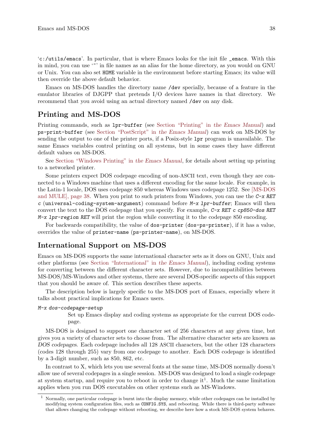<span id="page-41-0"></span>'c:/utils/emacs'. In particular, that is where Emacs looks for the init file \_emacs. With this in mind, you can use '" in file names as an alias for the home directory, as you would on GNU or Unix. You can also set HOME variable in the environment before starting Emacs; its value will then override the above default behavior.

Emacs on MS-DOS handles the directory name /dev specially, because of a feature in the emulator libraries of DJGPP that pretends I/O devices have names in that directory. We recommend that you avoid using an actual directory named /dev on any disk.

# <span id="page-41-2"></span>Printing and MS-DOS

Printing commands, such as lpr-buffer (see Section "Printing" in the Emacs Manual) and ps-print-buffer (see Section "PostScript" in the Emacs Manual) can work on MS-DOS by sending the output to one of the printer ports, if a Posix-style lpr program is unavailable. The same Emacs variables control printing on all systems, but in some cases they have different default values on MS-DOS.

See Section "Windows Printing" in the Emacs Manual, for details about setting up printing to a networked printer.

Some printers expect DOS codepage encoding of non-ASCII text, even though they are connected to a Windows machine that uses a different encoding for the same locale. For example, in the Latin-1 locale, DOS uses codepage 850 whereas Windows uses codepage 1252. See [\[MS-DOS](#page-41-1) [and MULE\], page 38.](#page-41-1) When you print to such printers from Windows, you can use the  $C-x$  RET c (universal-coding-system-argument) command before  $M-x$  lpr-buffer; Emacs will then convert the text to the DOS codepage that you specify. For example, C-x RET c cp850-dos RET  $M-x$  1pr-region RET will print the region while converting it to the codepage 850 encoding.

For backwards compatibility, the value of dos-printer (dos-ps-printer), if it has a value, overrides the value of printer-name (ps-printer-name), on MS-DOS.

## <span id="page-41-1"></span>International Support on MS-DOS

Emacs on MS-DOS supports the same international character sets as it does on GNU, Unix and other platforms (see Section "International" in the Emacs Manual), including coding systems for converting between the different character sets. However, due to incompatibilities between MS-DOS/MS-Windows and other systems, there are several DOS-specific aspects of this support that you should be aware of. This section describes these aspects.

The description below is largely specific to the MS-DOS port of Emacs, especially where it talks about practical implications for Emacs users.

#### M-x dos-codepage-setup

Set up Emacs display and coding systems as appropriate for the current DOS codepage.

MS-DOS is designed to support one character set of 256 characters at any given time, but gives you a variety of character sets to choose from. The alternative character sets are known as DOS codepages. Each codepage includes all 128 ASCII characters, but the other 128 characters (codes 128 through 255) vary from one codepage to another. Each DOS codepage is identified by a 3-digit number, such as 850, 862, etc.

In contrast to X, which lets you use several fonts at the same time, MS-DOS normally doesn't allow use of several codepages in a single session. MS-DOS was designed to load a single codepage at system startup, and require you to reboot in order to change it<sup>1</sup>. Much the same limitation applies when you run DOS executables on other systems such as MS-Windows.

<sup>&</sup>lt;sup>1</sup> Normally, one particular codepage is burnt into the display memory, while other codepages can be installed by modifying system configuration files, such as CONFIG.SYS, and rebooting. While there is third-party software that allows changing the codepage without rebooting, we describe here how a stock MS-DOS system behaves.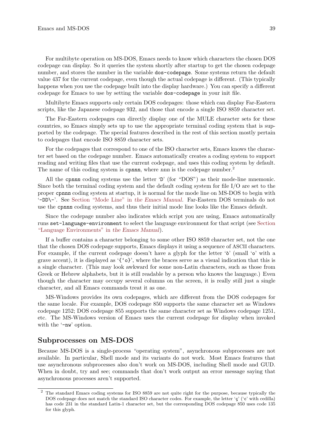<span id="page-42-0"></span>For multibyte operation on MS-DOS, Emacs needs to know which characters the chosen DOS codepage can display. So it queries the system shortly after startup to get the chosen codepage number, and stores the number in the variable dos-codepage. Some systems return the default value 437 for the current codepage, even though the actual codepage is different. (This typically happens when you use the codepage built into the display hardware.) You can specify a different codepage for Emacs to use by setting the variable dos-codepage in your init file.

Multibyte Emacs supports only certain DOS codepages: those which can display Far-Eastern scripts, like the Japanese codepage 932, and those that encode a single ISO 8859 character set.

The Far-Eastern codepages can directly display one of the MULE character sets for these countries, so Emacs simply sets up to use the appropriate terminal coding system that is supported by the codepage. The special features described in the rest of this section mostly pertain to codepages that encode ISO 8859 character sets.

For the codepages that correspond to one of the ISO character sets, Emacs knows the character set based on the codepage number. Emacs automatically creates a coding system to support reading and writing files that use the current codepage, and uses this coding system by default. The name of this coding system is  $\epsilon$  cpnnn, where nnn is the codepage number.<sup>2</sup>

All the cpnnn coding systems use the letter 'D' (for "DOS") as their mode-line mnemonic. Since both the terminal coding system and the default coding system for file I/O are set to the proper cpnnn coding system at startup, it is normal for the mode line on MS-DOS to begin with '-DD\-'. See Section "Mode Line" in the Emacs Manual. Far-Eastern DOS terminals do not use the cpnnn coding systems, and thus their initial mode line looks like the Emacs default.

Since the codepage number also indicates which script you are using, Emacs automatically runs set-language-environment to select the language environment for that script (see Section "Language Environments" in the Emacs Manual).

If a buffer contains a character belonging to some other ISO 8859 character set, not the one that the chosen DOS codepage supports, Emacs displays it using a sequence of ASCII characters. For example, if the current codepage doesn't have a glyph for the letter ' $\delta$ ' (small ' $\circ$ ' with a grave accent), it is displayed as '{'o}', where the braces serve as a visual indication that this is a single character. (This may look awkward for some non-Latin characters, such as those from Greek or Hebrew alphabets, but it is still readable by a person who knows the language.) Even though the character may occupy several columns on the screen, it is really still just a single character, and all Emacs commands treat it as one.

MS-Windows provides its own codepages, which are different from the DOS codepages for the same locale. For example, DOS codepage 850 supports the same character set as Windows codepage 1252; DOS codepage 855 supports the same character set as Windows codepage 1251, etc. The MS-Windows version of Emacs uses the current codepage for display when invoked with the '-nw' option.

## Subprocesses on MS-DOS

Because MS-DOS is a single-process "operating system", asynchronous subprocesses are not available. In particular, Shell mode and its variants do not work. Most Emacs features that use asynchronous subprocesses also don't work on MS-DOS, including Shell mode and GUD. When in doubt, try and see; commands that don't work output an error message saying that asynchronous processes aren't supported.

<sup>&</sup>lt;sup>2</sup> The standard Emacs coding systems for ISO 8859 are not quite right for the purpose, because typically the DOS codepage does not match the standard ISO character codes. For example, the letter  $\zeta'$  ( $\zeta'$  with cedilla) has code 231 in the standard Latin-1 character set, but the corresponding DOS codepage 850 uses code 135 for this glyph.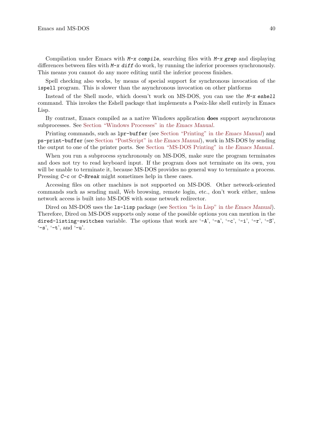<span id="page-43-0"></span>Compilation under Emacs with  $M-x$  compile, searching files with  $M-x$  grep and displaying differences between files with  $M-x$  diff do work, by running the inferior processes synchronously. This means you cannot do any more editing until the inferior process finishes.

Spell checking also works, by means of special support for synchronous invocation of the ispell program. This is slower than the asynchronous invocation on other platforms

Instead of the Shell mode, which doesn't work on MS-DOS, you can use the M-x eshell command. This invokes the Eshell package that implements a Posix-like shell entirely in Emacs Lisp.

By contrast, Emacs compiled as a native Windows application does support asynchronous subprocesses. See Section "Windows Processes" in the Emacs Manual.

Printing commands, such as lpr-buffer (see Section "Printing" in the Emacs Manual) and ps-print-buffer (see Section "PostScript" in the Emacs Manual), work in MS-DOS by sending the output to one of the printer ports. See [Section "MS-DOS Printing" in](#page-41-2) the Emacs Manual.

When you run a subprocess synchronously on MS-DOS, make sure the program terminates and does not try to read keyboard input. If the program does not terminate on its own, you will be unable to terminate it, because MS-DOS provides no general way to terminate a process. Pressing C-c or C-Break might sometimes help in these cases.

Accessing files on other machines is not supported on MS-DOS. Other network-oriented commands such as sending mail, Web browsing, remote login, etc., don't work either, unless network access is built into MS-DOS with some network redirector.

Dired on MS-DOS uses the  $ls$ -lisp package (see Section "ls in Lisp" in the Emacs Manual). Therefore, Dired on MS-DOS supports only some of the possible options you can mention in the dired-listing-switches variable. The options that work are '-A', '-a', '-c', '-i', '-r', '-S',  $'-s'$ ,  $'-t'$ , and  $'-u'$ .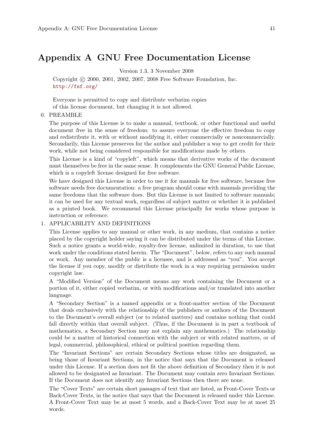# <span id="page-44-0"></span>Appendix A GNU Free Documentation License

Version 1.3, 3 November 2008

Copyright (c) 2000, 2001, 2002, 2007, 2008 Free Software Foundation, Inc. <http://fsf.org/>

Everyone is permitted to copy and distribute verbatim copies of this license document, but changing it is not allowed.

#### 0. PREAMBLE

The purpose of this License is to make a manual, textbook, or other functional and useful document free in the sense of freedom: to assure everyone the effective freedom to copy and redistribute it, with or without modifying it, either commercially or noncommercially. Secondarily, this License preserves for the author and publisher a way to get credit for their work, while not being considered responsible for modifications made by others.

This License is a kind of "copyleft", which means that derivative works of the document must themselves be free in the same sense. It complements the GNU General Public License, which is a copyleft license designed for free software.

We have designed this License in order to use it for manuals for free software, because free software needs free documentation: a free program should come with manuals providing the same freedoms that the software does. But this License is not limited to software manuals; it can be used for any textual work, regardless of subject matter or whether it is published as a printed book. We recommend this License principally for works whose purpose is instruction or reference.

## 1. APPLICABILITY AND DEFINITIONS

This License applies to any manual or other work, in any medium, that contains a notice placed by the copyright holder saying it can be distributed under the terms of this License. Such a notice grants a world-wide, royalty-free license, unlimited in duration, to use that work under the conditions stated herein. The "Document", below, refers to any such manual or work. Any member of the public is a licensee, and is addressed as "you". You accept the license if you copy, modify or distribute the work in a way requiring permission under copyright law.

A "Modified Version" of the Document means any work containing the Document or a portion of it, either copied verbatim, or with modifications and/or translated into another language.

A "Secondary Section" is a named appendix or a front-matter section of the Document that deals exclusively with the relationship of the publishers or authors of the Document to the Document's overall subject (or to related matters) and contains nothing that could fall directly within that overall subject. (Thus, if the Document is in part a textbook of mathematics, a Secondary Section may not explain any mathematics.) The relationship could be a matter of historical connection with the subject or with related matters, or of legal, commercial, philosophical, ethical or political position regarding them.

The "Invariant Sections" are certain Secondary Sections whose titles are designated, as being those of Invariant Sections, in the notice that says that the Document is released under this License. If a section does not fit the above definition of Secondary then it is not allowed to be designated as Invariant. The Document may contain zero Invariant Sections. If the Document does not identify any Invariant Sections then there are none.

The "Cover Texts" are certain short passages of text that are listed, as Front-Cover Texts or Back-Cover Texts, in the notice that says that the Document is released under this License. A Front-Cover Text may be at most 5 words, and a Back-Cover Text may be at most 25 words.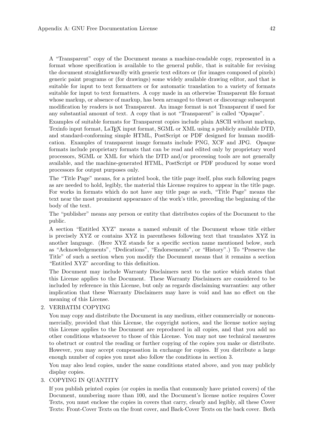A "Transparent" copy of the Document means a machine-readable copy, represented in a format whose specification is available to the general public, that is suitable for revising the document straightforwardly with generic text editors or (for images composed of pixels) generic paint programs or (for drawings) some widely available drawing editor, and that is suitable for input to text formatters or for automatic translation to a variety of formats suitable for input to text formatters. A copy made in an otherwise Transparent file format whose markup, or absence of markup, has been arranged to thwart or discourage subsequent modification by readers is not Transparent. An image format is not Transparent if used for any substantial amount of text. A copy that is not "Transparent" is called "Opaque".

Examples of suitable formats for Transparent copies include plain ASCII without markup, Texinfo input format, LaT<sub>E</sub>X input format, SGML or XML using a publicly available DTD, and standard-conforming simple HTML, PostScript or PDF designed for human modification. Examples of transparent image formats include PNG, XCF and JPG. Opaque formats include proprietary formats that can be read and edited only by proprietary word processors, SGML or XML for which the DTD and/or processing tools are not generally available, and the machine-generated HTML, PostScript or PDF produced by some word processors for output purposes only.

The "Title Page" means, for a printed book, the title page itself, plus such following pages as are needed to hold, legibly, the material this License requires to appear in the title page. For works in formats which do not have any title page as such, "Title Page" means the text near the most prominent appearance of the work's title, preceding the beginning of the body of the text.

The "publisher" means any person or entity that distributes copies of the Document to the public.

A section "Entitled XYZ" means a named subunit of the Document whose title either is precisely XYZ or contains XYZ in parentheses following text that translates XYZ in another language. (Here XYZ stands for a specific section name mentioned below, such as "Acknowledgements", "Dedications", "Endorsements", or "History".) To "Preserve the Title" of such a section when you modify the Document means that it remains a section "Entitled XYZ" according to this definition.

The Document may include Warranty Disclaimers next to the notice which states that this License applies to the Document. These Warranty Disclaimers are considered to be included by reference in this License, but only as regards disclaiming warranties: any other implication that these Warranty Disclaimers may have is void and has no effect on the meaning of this License.

### 2. VERBATIM COPYING

You may copy and distribute the Document in any medium, either commercially or noncommercially, provided that this License, the copyright notices, and the license notice saying this License applies to the Document are reproduced in all copies, and that you add no other conditions whatsoever to those of this License. You may not use technical measures to obstruct or control the reading or further copying of the copies you make or distribute. However, you may accept compensation in exchange for copies. If you distribute a large enough number of copies you must also follow the conditions in section 3.

You may also lend copies, under the same conditions stated above, and you may publicly display copies.

### 3. COPYING IN QUANTITY

If you publish printed copies (or copies in media that commonly have printed covers) of the Document, numbering more than 100, and the Document's license notice requires Cover Texts, you must enclose the copies in covers that carry, clearly and legibly, all these Cover Texts: Front-Cover Texts on the front cover, and Back-Cover Texts on the back cover. Both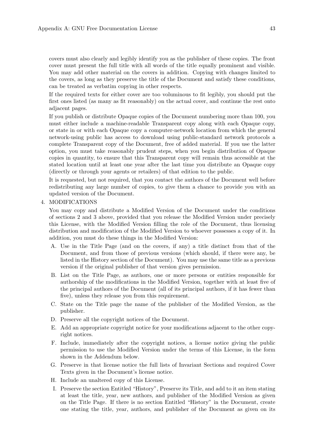covers must also clearly and legibly identify you as the publisher of these copies. The front cover must present the full title with all words of the title equally prominent and visible. You may add other material on the covers in addition. Copying with changes limited to the covers, as long as they preserve the title of the Document and satisfy these conditions, can be treated as verbatim copying in other respects.

If the required texts for either cover are too voluminous to fit legibly, you should put the first ones listed (as many as fit reasonably) on the actual cover, and continue the rest onto adjacent pages.

If you publish or distribute Opaque copies of the Document numbering more than 100, you must either include a machine-readable Transparent copy along with each Opaque copy, or state in or with each Opaque copy a computer-network location from which the general network-using public has access to download using public-standard network protocols a complete Transparent copy of the Document, free of added material. If you use the latter option, you must take reasonably prudent steps, when you begin distribution of Opaque copies in quantity, to ensure that this Transparent copy will remain thus accessible at the stated location until at least one year after the last time you distribute an Opaque copy (directly or through your agents or retailers) of that edition to the public.

It is requested, but not required, that you contact the authors of the Document well before redistributing any large number of copies, to give them a chance to provide you with an updated version of the Document.

### 4. MODIFICATIONS

You may copy and distribute a Modified Version of the Document under the conditions of sections 2 and 3 above, provided that you release the Modified Version under precisely this License, with the Modified Version filling the role of the Document, thus licensing distribution and modification of the Modified Version to whoever possesses a copy of it. In addition, you must do these things in the Modified Version:

- A. Use in the Title Page (and on the covers, if any) a title distinct from that of the Document, and from those of previous versions (which should, if there were any, be listed in the History section of the Document). You may use the same title as a previous version if the original publisher of that version gives permission.
- B. List on the Title Page, as authors, one or more persons or entities responsible for authorship of the modifications in the Modified Version, together with at least five of the principal authors of the Document (all of its principal authors, if it has fewer than five), unless they release you from this requirement.
- C. State on the Title page the name of the publisher of the Modified Version, as the publisher.
- D. Preserve all the copyright notices of the Document.
- E. Add an appropriate copyright notice for your modifications adjacent to the other copyright notices.
- F. Include, immediately after the copyright notices, a license notice giving the public permission to use the Modified Version under the terms of this License, in the form shown in the Addendum below.
- G. Preserve in that license notice the full lists of Invariant Sections and required Cover Texts given in the Document's license notice.
- H. Include an unaltered copy of this License.
- I. Preserve the section Entitled "History", Preserve its Title, and add to it an item stating at least the title, year, new authors, and publisher of the Modified Version as given on the Title Page. If there is no section Entitled "History" in the Document, create one stating the title, year, authors, and publisher of the Document as given on its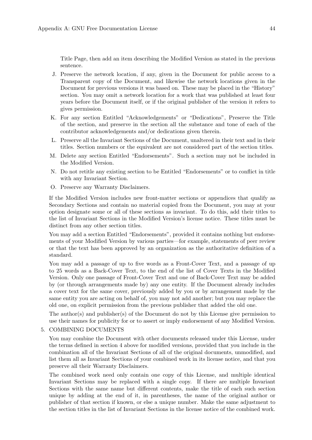Title Page, then add an item describing the Modified Version as stated in the previous sentence.

- J. Preserve the network location, if any, given in the Document for public access to a Transparent copy of the Document, and likewise the network locations given in the Document for previous versions it was based on. These may be placed in the "History" section. You may omit a network location for a work that was published at least four years before the Document itself, or if the original publisher of the version it refers to gives permission.
- K. For any section Entitled "Acknowledgements" or "Dedications", Preserve the Title of the section, and preserve in the section all the substance and tone of each of the contributor acknowledgements and/or dedications given therein.
- L. Preserve all the Invariant Sections of the Document, unaltered in their text and in their titles. Section numbers or the equivalent are not considered part of the section titles.
- M. Delete any section Entitled "Endorsements". Such a section may not be included in the Modified Version.
- N. Do not retitle any existing section to be Entitled "Endorsements" or to conflict in title with any Invariant Section.
- O. Preserve any Warranty Disclaimers.

If the Modified Version includes new front-matter sections or appendices that qualify as Secondary Sections and contain no material copied from the Document, you may at your option designate some or all of these sections as invariant. To do this, add their titles to the list of Invariant Sections in the Modified Version's license notice. These titles must be distinct from any other section titles.

You may add a section Entitled "Endorsements", provided it contains nothing but endorsements of your Modified Version by various parties—for example, statements of peer review or that the text has been approved by an organization as the authoritative definition of a standard.

You may add a passage of up to five words as a Front-Cover Text, and a passage of up to 25 words as a Back-Cover Text, to the end of the list of Cover Texts in the Modified Version. Only one passage of Front-Cover Text and one of Back-Cover Text may be added by (or through arrangements made by) any one entity. If the Document already includes a cover text for the same cover, previously added by you or by arrangement made by the same entity you are acting on behalf of, you may not add another; but you may replace the old one, on explicit permission from the previous publisher that added the old one.

The author(s) and publisher(s) of the Document do not by this License give permission to use their names for publicity for or to assert or imply endorsement of any Modified Version.

### 5. COMBINING DOCUMENTS

You may combine the Document with other documents released under this License, under the terms defined in section 4 above for modified versions, provided that you include in the combination all of the Invariant Sections of all of the original documents, unmodified, and list them all as Invariant Sections of your combined work in its license notice, and that you preserve all their Warranty Disclaimers.

The combined work need only contain one copy of this License, and multiple identical Invariant Sections may be replaced with a single copy. If there are multiple Invariant Sections with the same name but different contents, make the title of each such section unique by adding at the end of it, in parentheses, the name of the original author or publisher of that section if known, or else a unique number. Make the same adjustment to the section titles in the list of Invariant Sections in the license notice of the combined work.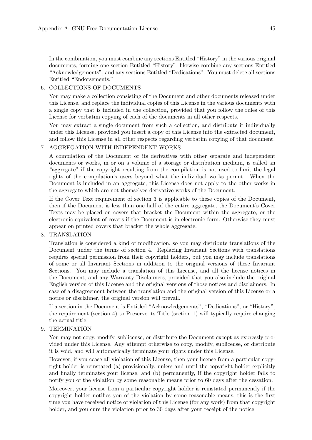In the combination, you must combine any sections Entitled "History" in the various original documents, forming one section Entitled "History"; likewise combine any sections Entitled "Acknowledgements", and any sections Entitled "Dedications". You must delete all sections Entitled "Endorsements."

### 6. COLLECTIONS OF DOCUMENTS

You may make a collection consisting of the Document and other documents released under this License, and replace the individual copies of this License in the various documents with a single copy that is included in the collection, provided that you follow the rules of this License for verbatim copying of each of the documents in all other respects.

You may extract a single document from such a collection, and distribute it individually under this License, provided you insert a copy of this License into the extracted document, and follow this License in all other respects regarding verbatim copying of that document.

## 7. AGGREGATION WITH INDEPENDENT WORKS

A compilation of the Document or its derivatives with other separate and independent documents or works, in or on a volume of a storage or distribution medium, is called an "aggregate" if the copyright resulting from the compilation is not used to limit the legal rights of the compilation's users beyond what the individual works permit. When the Document is included in an aggregate, this License does not apply to the other works in the aggregate which are not themselves derivative works of the Document.

If the Cover Text requirement of section 3 is applicable to these copies of the Document, then if the Document is less than one half of the entire aggregate, the Document's Cover Texts may be placed on covers that bracket the Document within the aggregate, or the electronic equivalent of covers if the Document is in electronic form. Otherwise they must appear on printed covers that bracket the whole aggregate.

#### 8. TRANSLATION

Translation is considered a kind of modification, so you may distribute translations of the Document under the terms of section 4. Replacing Invariant Sections with translations requires special permission from their copyright holders, but you may include translations of some or all Invariant Sections in addition to the original versions of these Invariant Sections. You may include a translation of this License, and all the license notices in the Document, and any Warranty Disclaimers, provided that you also include the original English version of this License and the original versions of those notices and disclaimers. In case of a disagreement between the translation and the original version of this License or a notice or disclaimer, the original version will prevail.

If a section in the Document is Entitled "Acknowledgements", "Dedications", or "History", the requirement (section 4) to Preserve its Title (section 1) will typically require changing the actual title.

### 9. TERMINATION

You may not copy, modify, sublicense, or distribute the Document except as expressly provided under this License. Any attempt otherwise to copy, modify, sublicense, or distribute it is void, and will automatically terminate your rights under this License.

However, if you cease all violation of this License, then your license from a particular copyright holder is reinstated (a) provisionally, unless and until the copyright holder explicitly and finally terminates your license, and (b) permanently, if the copyright holder fails to notify you of the violation by some reasonable means prior to 60 days after the cessation.

Moreover, your license from a particular copyright holder is reinstated permanently if the copyright holder notifies you of the violation by some reasonable means, this is the first time you have received notice of violation of this License (for any work) from that copyright holder, and you cure the violation prior to 30 days after your receipt of the notice.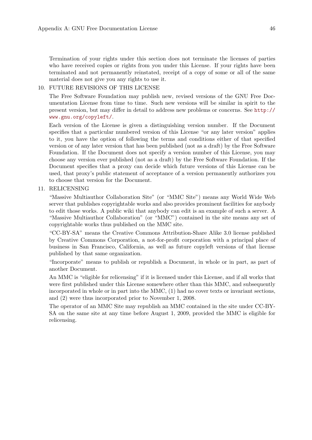Termination of your rights under this section does not terminate the licenses of parties who have received copies or rights from you under this License. If your rights have been terminated and not permanently reinstated, receipt of a copy of some or all of the same material does not give you any rights to use it.

### 10. FUTURE REVISIONS OF THIS LICENSE

The Free Software Foundation may publish new, revised versions of the GNU Free Documentation License from time to time. Such new versions will be similar in spirit to the present version, but may differ in detail to address new problems or concerns. See [http://](http://www.gnu.org/copyleft/) [www.gnu.org/copyleft/](http://www.gnu.org/copyleft/).

Each version of the License is given a distinguishing version number. If the Document specifies that a particular numbered version of this License "or any later version" applies to it, you have the option of following the terms and conditions either of that specified version or of any later version that has been published (not as a draft) by the Free Software Foundation. If the Document does not specify a version number of this License, you may choose any version ever published (not as a draft) by the Free Software Foundation. If the Document specifies that a proxy can decide which future versions of this License can be used, that proxy's public statement of acceptance of a version permanently authorizes you to choose that version for the Document.

#### 11. RELICENSING

"Massive Multiauthor Collaboration Site" (or "MMC Site") means any World Wide Web server that publishes copyrightable works and also provides prominent facilities for anybody to edit those works. A public wiki that anybody can edit is an example of such a server. A "Massive Multiauthor Collaboration" (or "MMC") contained in the site means any set of copyrightable works thus published on the MMC site.

"CC-BY-SA" means the Creative Commons Attribution-Share Alike 3.0 license published by Creative Commons Corporation, a not-for-profit corporation with a principal place of business in San Francisco, California, as well as future copyleft versions of that license published by that same organization.

"Incorporate" means to publish or republish a Document, in whole or in part, as part of another Document.

An MMC is "eligible for relicensing" if it is licensed under this License, and if all works that were first published under this License somewhere other than this MMC, and subsequently incorporated in whole or in part into the MMC, (1) had no cover texts or invariant sections, and (2) were thus incorporated prior to November 1, 2008.

The operator of an MMC Site may republish an MMC contained in the site under CC-BY-SA on the same site at any time before August 1, 2009, provided the MMC is eligible for relicensing.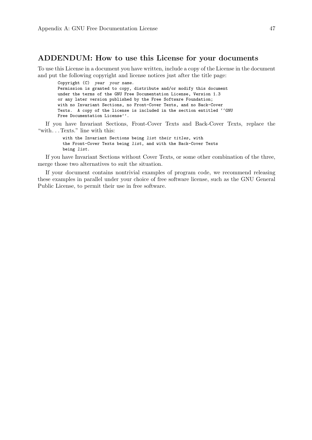## ADDENDUM: How to use this License for your documents

To use this License in a document you have written, include a copy of the License in the document and put the following copyright and license notices just after the title page:

Copyright (C) year your name. Permission is granted to copy, distribute and/or modify this document under the terms of the GNU Free Documentation License, Version 1.3 or any later version published by the Free Software Foundation; with no Invariant Sections, no Front-Cover Texts, and no Back-Cover Texts. A copy of the license is included in the section entitled ''GNU Free Documentation License''.

If you have Invariant Sections, Front-Cover Texts and Back-Cover Texts, replace the "with. . . Texts." line with this:

> with the Invariant Sections being list their titles, with the Front-Cover Texts being list, and with the Back-Cover Texts being list.

If you have Invariant Sections without Cover Texts, or some other combination of the three, merge those two alternatives to suit the situation.

If your document contains nontrivial examples of program code, we recommend releasing these examples in parallel under your choice of free software license, such as the GNU General Public License, to permit their use in free software.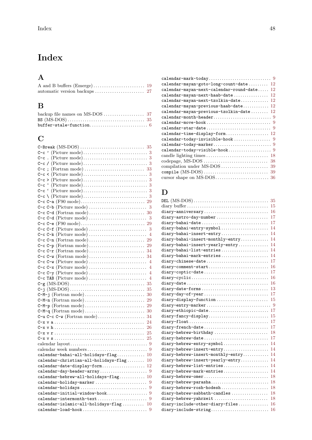# <span id="page-51-0"></span>Index

# A

# B

# C

| calendar-bahai-all-holidays-flag $10$                                                                                                   |
|-----------------------------------------------------------------------------------------------------------------------------------------|
| calendar-christian-all-holidays-flag $10$                                                                                               |
| $\mathtt{calendar}\text{-}\mathtt{date}\text{-}\mathtt{display}\text{-}\mathtt{form}\ldots\ldots\ldots\ldots\ldots\ldots\hspace{1mm}12$ |
| $\mathtt{calendar}\text{-}\mathtt{day}\text{-}\mathtt{header}\text{-}\mathtt{array}\ldots\ldots\ldots\ldots\ldots\ldots\ldots\quad9$    |
| calendar-hebrew-all-holidays-flag $10$                                                                                                  |
|                                                                                                                                         |
|                                                                                                                                         |
| $\verb calardar-inital-window+hook. \dots. \dots. \dots. \dots. \ 9$                                                                    |
|                                                                                                                                         |
| calendar-islamic-all-holidays-flag $10$                                                                                                 |
| calendar-load-hook<br>9                                                                                                                 |
|                                                                                                                                         |

| calendar-mayan-goto-long-count-date<br>12                                                                                                                 |
|-----------------------------------------------------------------------------------------------------------------------------------------------------------|
| calendar-mayan-next-calendar-round-date<br>12                                                                                                             |
| calendar-mayan-next-haab-date<br>12                                                                                                                       |
| calendar-mayan-next-tzolkin-date<br>12                                                                                                                    |
| calendar-mayan-previous-haab-date<br>-12                                                                                                                  |
| calendar-mayan-previous-tzolkin-date<br>12                                                                                                                |
|                                                                                                                                                           |
| $\mathtt{calendar-move-hook}\ldots\ldots\ldots\ldots\ldots\ldots\ldots\ldots\ldots\ldots\qquad9$                                                          |
|                                                                                                                                                           |
|                                                                                                                                                           |
|                                                                                                                                                           |
|                                                                                                                                                           |
| ${\tt calendar\text{-}today\text{-}visible\text{-}hook}\dots\dots\dots\dots\dots\dots\dots \mathbin{\raisebox{.3pt}{\hbox{.}}\raisebox{.3pt}{\hbox{.}}}.$ |
| 18                                                                                                                                                        |
| $codepage, MS-DOS \ldots \ldots \ldots \ldots \ldots \ldots \ldots \ldots$<br>38                                                                          |
| compilation under MS-DOS<br>39                                                                                                                            |
| $\mathsf{compile}\ (\text{MS-DOS}) \dots \dots \dots \dots \dots \dots \dots \dots \dots$<br>39                                                           |
|                                                                                                                                                           |

# D

|                                   | 35 |
|-----------------------------------|----|
|                                   | 15 |
| diary-anniversary                 | 16 |
| diary-astro-day-number            | 17 |
| diary-bahai-date                  | 17 |
| diary-bahai-entry-symbol          | 14 |
| diary-bahai-insert-entry          | 14 |
| diary-bahai-insert-monthly-entry  | 14 |
| diary-bahai-insert-yearly-entry   | 14 |
| diary-bahai-list-entries          | 14 |
| diary-bahai-mark-entries          | 14 |
| diary-chinese-date                | 17 |
| diary-comment-start               | 16 |
| diary-coptic-date                 | 17 |
|                                   | 16 |
|                                   | 16 |
| diary-date-forms                  | 13 |
| diary-day-of-year                 | 17 |
| diary-display-function            | 15 |
| diary-entry-marker                | -9 |
| diary-ethiopic-date               | 17 |
| diary-fancy-display               | 15 |
|                                   | 17 |
| diary-french-date                 | 17 |
| diary-hebrew-birthday             | 18 |
| diary-hebrew-date                 | 17 |
| diary-hebrew-entry-symbol         | 14 |
| diary-hebrew-insert-entry         | 14 |
| diary-hebrew-insert-monthly-entry | 14 |
| diary-hebrew-insert-yearly-entry  | 14 |
| diary-hebrew-list-entries         | 14 |
| diary-hebrew-mark-entries         | 14 |
| diary-hebrew-omer                 | 18 |
| diary-hebrew-parasha              | 18 |
| diary-hebrew-rosh-hodesh          | 18 |
| diary-hebrew-sabbath-candles      | 18 |
| diary-hebrew-yahrzeit             | 18 |
| diary-include-other-diary-files   | 16 |
| diary-include-string              | 16 |
|                                   |    |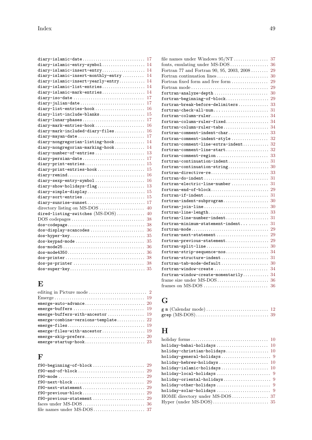| diary-islamic-date                 | 17 |
|------------------------------------|----|
| diary-islamic-entry-symbol         | 14 |
| diary-islamic-insert-entry         | 14 |
| diary-islamic-insert-monthly-entry | 14 |
| diary-islamic-insert-yearly-entry  | 14 |
| diary-islamic-list-entries         | 14 |
| diary-islamic-mark-entries         | 14 |
| diary-iso-date                     | 17 |
| diary-julian-date                  | 17 |
| diary-list-entries-hook            | 16 |
| diary-list-include-blanks          | 15 |
| diary-lunar-phases                 | 17 |
| diary-mark-entries-hook            | 16 |
| diary-mark-included-diary-files    | 16 |
| diary-mayan-date                   | 17 |
| diary-nongregorian-listing-hook    | 14 |
| diary-nongregorian-marking-hook    | 14 |
| diary-number-of-entries            | 13 |
| diary-persian-date                 | 17 |
| diary-print-entries                | 15 |
| diary-print-entries-hook           | 15 |
|                                    | 16 |
| diary-sexp-entry-symbol            | 16 |
| diary-show-holidays-flag           | 13 |
| diary-simple-display               | 15 |
| diary-sort-entries                 | 15 |
| diary-sunrise-sunset               | 17 |
| directory listing on MS-DOS        | 40 |
| dired-listing-switches (MS-DOS)    | 40 |
|                                    | 38 |
|                                    | 38 |
| dos-display-scancodes              | 36 |
|                                    | 35 |
| dos-keypad-mode                    | 35 |
|                                    | 36 |
|                                    | 36 |
|                                    | 38 |
| dos-ps-printer                     | 38 |
|                                    | 35 |
|                                    |    |

# E

| $emerge-combine-versions-template$ 22                                                                      |
|------------------------------------------------------------------------------------------------------------|
|                                                                                                            |
|                                                                                                            |
|                                                                                                            |
| $\small \texttt{emerge-startup-hook} \ldots \ldots \ldots \ldots \ldots \ldots \ldots \ldots \ldots \; 23$ |

# F

| file names under Windows $95/NT$                                                     | 37 |
|--------------------------------------------------------------------------------------|----|
| fonts, emulating under MS-DOS                                                        | 36 |
| Fortran 77 and Fortran 90, 95, 2003, 2008                                            | 29 |
| Fortran continuation lines                                                           | 30 |
| Fortran fixed form and free form                                                     | 29 |
| Fortran mode $\ldots \ldots \ldots \ldots \ldots \ldots \ldots \ldots \ldots \ldots$ | 29 |
| fortran-analyze-depth                                                                | 30 |
| fortran-beginning-of-block                                                           | 29 |
| fortran-break-before-delimiters                                                      | 33 |
|                                                                                      | 31 |
| fortran-column-ruler                                                                 | 34 |
| fortran-column-ruler-fixed                                                           | 34 |
|                                                                                      | 34 |
| $fortran$ -comment-indent-char33                                                     |    |
| fortran-comment-indent-style                                                         | 32 |
| fortran-comment-line-extra-indent                                                    | 32 |
| $fortran$ -comment-line-start                                                        | 32 |
| fortran-comment-region                                                               | 33 |
| fortran-continuation-indent                                                          | 31 |
|                                                                                      |    |
| fortran-directive-re                                                                 | 33 |
| fortran-do-indent                                                                    | 31 |
| fortran-electric-line-number                                                         | 31 |
| fortran-end-of-block                                                                 | 29 |
|                                                                                      | 31 |
| fortran-indent-subprogram                                                            | 30 |
| fortran-join-line                                                                    | 30 |
| fortran-line-length                                                                  | 33 |
| fortran-line-number-indent                                                           | 31 |
| $fortran-minimum-statement-indent$                                                   | 31 |
| fortran-mode                                                                         | 29 |
|                                                                                      | 29 |
| fortran-previous-statement                                                           | 29 |
| fortran-split-line                                                                   | 30 |
| fortran-strip-sequence-nos                                                           | 34 |
| fortran-structure-indent                                                             | 31 |
| $fortran-tab-mode-default$                                                           | 30 |
| $fortran-window-create \dots \dots \dots \dots \dots \dots \dots \dots$              | 34 |
| fortran-window-create-momentarily                                                    | 34 |
| frame size under MS-DOS                                                              | 36 |
|                                                                                      | 36 |

# G

# H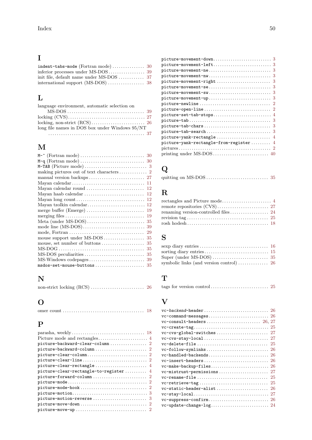# I

# L

| long file names in DOS box under Windows 95/NT |  |
|------------------------------------------------|--|
|                                                |  |

# M

| 30                                 |
|------------------------------------|
|                                    |
|                                    |
|                                    |
|                                    |
| 11                                 |
| 12                                 |
| Mayan haab calendar<br>12          |
| 12                                 |
| Mayan tzolkin calendar<br>12       |
| merge buffer (Emerge)<br>19        |
| 19                                 |
| 35                                 |
| mode line (MS-DOS)<br>39           |
| 29                                 |
| mouse support under MS-DOS<br>35   |
| mouse, set number of buttons<br>35 |
| 35                                 |
| 35                                 |
| MS-Windows codepages<br>39         |
| msdos-set-mouse-buttons<br>35      |

# N

|--|--|--|

# O

# P

| $picture$ -clear-rectangle-to-register 4 |
|------------------------------------------|
|                                          |
|                                          |
|                                          |
|                                          |
|                                          |
|                                          |
|                                          |

| $picture-movement-down.\dots.\dots.\dots.\dots.\dots$                                       |
|---------------------------------------------------------------------------------------------|
|                                                                                             |
|                                                                                             |
| $\texttt{picture-movement-nw}\dots\dots\dots\dots\dots\dots\dots\dots\,3$                   |
|                                                                                             |
|                                                                                             |
|                                                                                             |
|                                                                                             |
|                                                                                             |
|                                                                                             |
| $picture-set - tab - stops \dots \dots \dots \dots \dots \dots \dots \dots \dots \dots \ 4$ |
|                                                                                             |
|                                                                                             |
|                                                                                             |
|                                                                                             |
| $picture$ -yank-rectangle-from-register $4$                                                 |
|                                                                                             |
|                                                                                             |

# Q

|--|--|--|

# R

| $\cosh \, \text{hodes} \dots \dots \dots \dots \dots \dots \dots \dots \dots \dots \dots \dots \dots \dots \dots \dots$ |  |
|-------------------------------------------------------------------------------------------------------------------------|--|

# S

# T

|--|--|--|

# V

| $\verb vc-cvs-global-switches   \ldots \ldots \ldots \ldots \ldots \ldots \ 27$ |
|---------------------------------------------------------------------------------|
|                                                                                 |
| vc-delete-file<br>-25                                                           |
|                                                                                 |
|                                                                                 |
| vc-insert-headers<br>- 26                                                       |
|                                                                                 |
| vc-mistrust-permissions<br>-27                                                  |
| vc-rename-file<br>-25                                                           |
| vc-retrieve-tag<br>25                                                           |
| vc-static-header-alist<br>26                                                    |
|                                                                                 |
|                                                                                 |
|                                                                                 |
|                                                                                 |